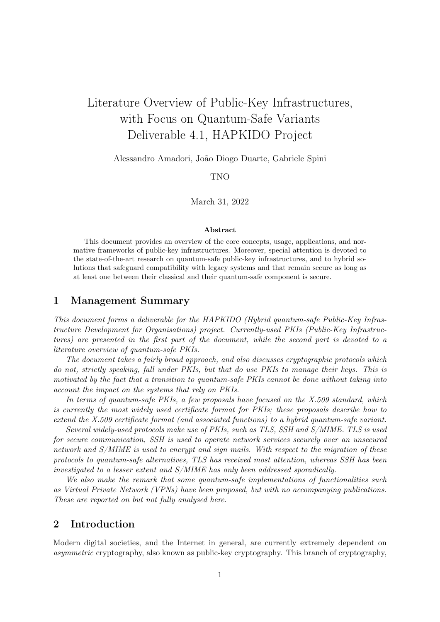# Literature Overview of Public-Key Infrastructures, with Focus on Quantum-Safe Variants Deliverable 4.1, HAPKIDO Project

Alessandro Amadori, João Diogo Duarte, Gabriele Spini

TNO

March 31, 2022

#### Abstract

This document provides an overview of the core concepts, usage, applications, and normative frameworks of public-key infrastructures. Moreover, special attention is devoted to the state-of-the-art research on quantum-safe public-key infrastructures, and to hybrid solutions that safeguard compatibility with legacy systems and that remain secure as long as at least one between their classical and their quantum-safe component is secure.

## 1 Management Summary

This document forms a deliverable for the HAPKIDO (Hybrid quantum-safe Public-Key Infrastructure Development for Organisations) project. Currently-used PKIs (Public-Key Infrastructures) are presented in the first part of the document, while the second part is devoted to a literature overview of quantum-safe PKIs.

The document takes a fairly broad approach, and also discusses cryptographic protocols which do not, strictly speaking, fall under PKIs, but that do use PKIs to manage their keys. This is motivated by the fact that a transition to quantum-safe PKIs cannot be done without taking into account the impact on the systems that rely on PKIs.

In terms of quantum-safe PKIs, a few proposals have focused on the X.509 standard, which is currently the most widely used certificate format for PKIs; these proposals describe how to extend the X.509 certificate format (and associated functions) to a hybrid quantum-safe variant.

Several widely-used protocols make use of PKIs, such as TLS, SSH and S/MIME. TLS is used for secure communication, SSH is used to operate network services securely over an unsecured network and S/MIME is used to encrypt and sign mails. With respect to the migration of these protocols to quantum-safe alternatives, TLS has received most attention, whereas SSH has been investigated to a lesser extent and S/MIME has only been addressed sporadically.

We also make the remark that some quantum-safe implementations of functionalities such as Virtual Private Network (VPNs) have been proposed, but with no accompanying publications. These are reported on but not fully analysed here.

## 2 Introduction

Modern digital societies, and the Internet in general, are currently extremely dependent on asymmetric cryptography, also known as public-key cryptography. This branch of cryptography,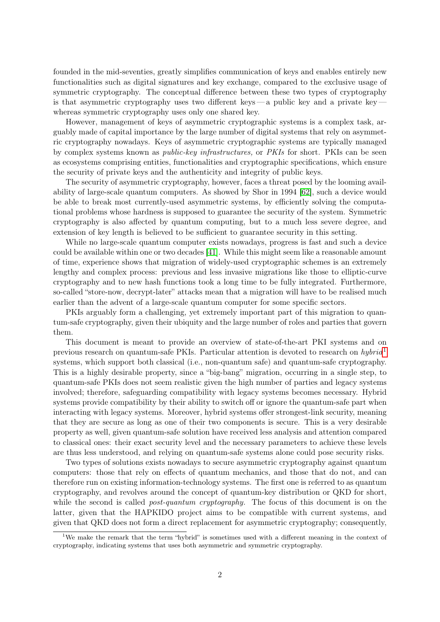founded in the mid-seventies, greatly simplifies communication of keys and enables entirely new functionalities such as digital signatures and key exchange, compared to the exclusive usage of symmetric cryptography. The conceptual difference between these two types of cryptography is that asymmetric cryptography uses two different keys — a public key and a private key whereas symmetric cryptography uses only one shared key.

However, management of keys of asymmetric cryptographic systems is a complex task, arguably made of capital importance by the large number of digital systems that rely on asymmetric cryptography nowadays. Keys of asymmetric cryptographic systems are typically managed by complex systems known as public-key infrastructures, or PKIs for short. PKIs can be seen as ecosystems comprising entities, functionalities and cryptographic specifications, which ensure the security of private keys and the authenticity and integrity of public keys.

The security of asymmetric cryptography, however, faces a threat posed by the looming availability of large-scale quantum computers. As showed by Shor in 1994 [\[62\]](#page-26-0), such a device would be able to break most currently-used asymmetric systems, by efficiently solving the computational problems whose hardness is supposed to guarantee the security of the system. Symmetric cryptography is also affected by quantum computing, but to a much less severe degree, and extension of key length is believed to be sufficient to guarantee security in this setting.

While no large-scale quantum computer exists nowadays, progress is fast and such a device could be available within one or two decades [\[41\]](#page-25-0). While this might seem like a reasonable amount of time, experience shows that migration of widely-used cryptographic schemes is an extremely lengthy and complex process: previous and less invasive migrations like those to elliptic-curve cryptography and to new hash functions took a long time to be fully integrated. Furthermore, so-called "store-now, decrypt-later" attacks mean that a migration will have to be realised much earlier than the advent of a large-scale quantum computer for some specific sectors.

PKIs arguably form a challenging, yet extremely important part of this migration to quantum-safe cryptography, given their ubiquity and the large number of roles and parties that govern them.

This document is meant to provide an overview of state-of-the-art PKI systems and on previous research on quantum-safe PKIs. Particular attention is devoted to research on  $hybrid<sup>1</sup>$  $hybrid<sup>1</sup>$  $hybrid<sup>1</sup>$ systems, which support both classical (i.e., non-quantum safe) and quantum-safe cryptography. This is a highly desirable property, since a "big-bang" migration, occurring in a single step, to quantum-safe PKIs does not seem realistic given the high number of parties and legacy systems involved; therefore, safeguarding compatibility with legacy systems becomes necessary. Hybrid systems provide compatibility by their ability to switch off or ignore the quantum-safe part when interacting with legacy systems. Moreover, hybrid systems offer strongest-link security, meaning that they are secure as long as one of their two components is secure. This is a very desirable property as well, given quantum-safe solution have received less analysis and attention compared to classical ones: their exact security level and the necessary parameters to achieve these levels are thus less understood, and relying on quantum-safe systems alone could pose security risks.

Two types of solutions exists nowadays to secure asymmetric cryptography against quantum computers: those that rely on effects of quantum mechanics, and those that do not, and can therefore run on existing information-technology systems. The first one is referred to as quantum cryptography, and revolves around the concept of quantum-key distribution or QKD for short, while the second is called *post-quantum cryptography*. The focus of this document is on the latter, given that the HAPKIDO project aims to be compatible with current systems, and given that QKD does not form a direct replacement for asymmetric cryptography; consequently,

<span id="page-1-0"></span><sup>&</sup>lt;sup>1</sup>We make the remark that the term "hybrid" is sometimes used with a different meaning in the context of cryptography, indicating systems that uses both asymmetric and symmetric cryptography.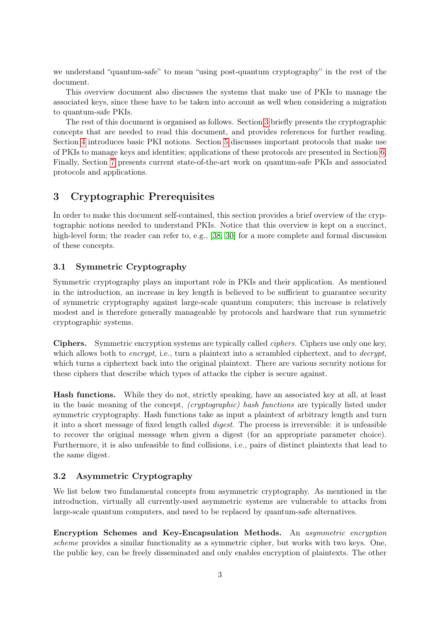we understand "quantum-safe" to mean "using post-quantum cryptography" in the rest of the document.

This overview document also discusses the systems that make use of PKIs to manage the associated keys, since these have to be taken into account as well when considering a migration to quantum-safe PKIs.

The rest of this document is organised as follows. Section [3](#page-2-0) briefly presents the cryptographic concepts that are needed to read this document, and provides references for further reading. Section [4](#page-3-0) introduces basic PKI notions. Section [5](#page-6-0) discusses important protocols that make use of PKIs to manage keys and identities; applications of these protocols are presented in Section [6.](#page-9-0) Finally, Section [7](#page-11-0) presents current state-of-the-art work on quantum-safe PKIs and associated protocols and applications.

## <span id="page-2-0"></span>3 Cryptographic Prerequisites

In order to make this document self-contained, this section provides a brief overview of the cryptographic notions needed to understand PKIs. Notice that this overview is kept on a succinct, high-level form; the reader can refer to, e.g., [\[38,](#page-25-1) [30\]](#page-24-0) for a more complete and formal discussion of these concepts.

## 3.1 Symmetric Cryptography

Symmetric cryptography plays an important role in PKIs and their application. As mentioned in the introduction, an increase in key length is believed to be sufficient to guarantee security of symmetric cryptography against large-scale quantum computers; this increase is relatively modest and is therefore generally manageable by protocols and hardware that run symmetric cryptographic systems.

Ciphers. Symmetric encryption systems are typically called ciphers. Ciphers use only one key, which allows both to *encrypt*, i.e., turn a plaintext into a scrambled ciphertext, and to *decrypt*, which turns a ciphertext back into the original plaintext. There are various security notions for these ciphers that describe which types of attacks the cipher is secure against.

Hash functions. While they do not, strictly speaking, have an associated key at all, at least in the basic meaning of the concept, (cryptographic) hash functions are typically listed under symmetric cryptography. Hash functions take as input a plaintext of arbitrary length and turn it into a short message of fixed length called digest. The process is irreversible: it is unfeasible to recover the original message when given a digest (for an appropriate parameter choice). Furthermore, it is also unfeasible to find collisions, i.e., pairs of distinct plaintexts that lead to the same digest.

## 3.2 Asymmetric Cryptography

We list below two fundamental concepts from asymmetric cryptography. As mentioned in the introduction, virtually all currently-used asymmetric systems are vulnerable to attacks from large-scale quantum computers, and need to be replaced by quantum-safe alternatives.

Encryption Schemes and Key-Encapsulation Methods. An asymmetric encryption scheme provides a similar functionality as a symmetric cipher, but works with two keys. One, the public key, can be freely disseminated and only enables encryption of plaintexts. The other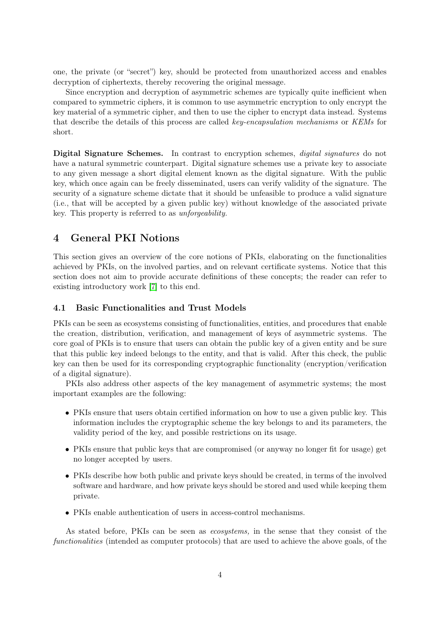one, the private (or "secret") key, should be protected from unauthorized access and enables decryption of ciphertexts, thereby recovering the original message.

Since encryption and decryption of asymmetric schemes are typically quite inefficient when compared to symmetric ciphers, it is common to use asymmetric encryption to only encrypt the key material of a symmetric cipher, and then to use the cipher to encrypt data instead. Systems that describe the details of this process are called key-encapsulation mechanisms or KEMs for short.

Digital Signature Schemes. In contrast to encryption schemes, *digital signatures* do not have a natural symmetric counterpart. Digital signature schemes use a private key to associate to any given message a short digital element known as the digital signature. With the public key, which once again can be freely disseminated, users can verify validity of the signature. The security of a signature scheme dictate that it should be unfeasible to produce a valid signature (i.e., that will be accepted by a given public key) without knowledge of the associated private key. This property is referred to as unforgeability.

## <span id="page-3-0"></span>4 General PKI Notions

This section gives an overview of the core notions of PKIs, elaborating on the functionalities achieved by PKIs, on the involved parties, and on relevant certificate systems. Notice that this section does not aim to provide accurate definitions of these concepts; the reader can refer to existing introductory work [\[7\]](#page-23-0) to this end.

## 4.1 Basic Functionalities and Trust Models

PKIs can be seen as ecosystems consisting of functionalities, entities, and procedures that enable the creation, distribution, verification, and management of keys of asymmetric systems. The core goal of PKIs is to ensure that users can obtain the public key of a given entity and be sure that this public key indeed belongs to the entity, and that is valid. After this check, the public key can then be used for its corresponding cryptographic functionality (encryption/verification of a digital signature).

PKIs also address other aspects of the key management of asymmetric systems; the most important examples are the following:

- PKIs ensure that users obtain certified information on how to use a given public key. This information includes the cryptographic scheme the key belongs to and its parameters, the validity period of the key, and possible restrictions on its usage.
- PKIs ensure that public keys that are compromised (or anyway no longer fit for usage) get no longer accepted by users.
- PKIs describe how both public and private keys should be created, in terms of the involved software and hardware, and how private keys should be stored and used while keeping them private.
- PKIs enable authentication of users in access-control mechanisms.

As stated before, PKIs can be seen as ecosystems, in the sense that they consist of the functionalities (intended as computer protocols) that are used to achieve the above goals, of the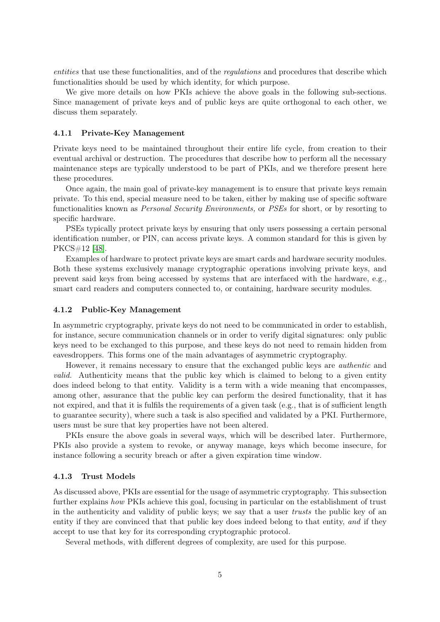entities that use these functionalities, and of the regulations and procedures that describe which functionalities should be used by which identity, for which purpose.

We give more details on how PKIs achieve the above goals in the following sub-sections. Since management of private keys and of public keys are quite orthogonal to each other, we discuss them separately.

#### 4.1.1 Private-Key Management

Private keys need to be maintained throughout their entire life cycle, from creation to their eventual archival or destruction. The procedures that describe how to perform all the necessary maintenance steps are typically understood to be part of PKIs, and we therefore present here these procedures.

Once again, the main goal of private-key management is to ensure that private keys remain private. To this end, special measure need to be taken, either by making use of specific software functionalities known as *Personal Security Environments*, or *PSEs* for short, or by resorting to specific hardware.

PSEs typically protect private keys by ensuring that only users possessing a certain personal identification number, or PIN, can access private keys. A common standard for this is given by PKCS#12 [\[48\]](#page-25-2).

Examples of hardware to protect private keys are smart cards and hardware security modules. Both these systems exclusively manage cryptographic operations involving private keys, and prevent said keys from being accessed by systems that are interfaced with the hardware, e.g., smart card readers and computers connected to, or containing, hardware security modules.

#### 4.1.2 Public-Key Management

In asymmetric cryptography, private keys do not need to be communicated in order to establish, for instance, secure communication channels or in order to verify digital signatures: only public keys need to be exchanged to this purpose, and these keys do not need to remain hidden from eavesdroppers. This forms one of the main advantages of asymmetric cryptography.

However, it remains necessary to ensure that the exchanged public keys are authentic and valid. Authenticity means that the public key which is claimed to belong to a given entity does indeed belong to that entity. Validity is a term with a wide meaning that encompasses, among other, assurance that the public key can perform the desired functionality, that it has not expired, and that it is fulfils the requirements of a given task (e.g., that is of sufficient length to guarantee security), where such a task is also specified and validated by a PKI. Furthermore, users must be sure that key properties have not been altered.

PKIs ensure the above goals in several ways, which will be described later. Furthermore, PKIs also provide a system to revoke, or anyway manage, keys which become insecure, for instance following a security breach or after a given expiration time window.

#### 4.1.3 Trust Models

As discussed above, PKIs are essential for the usage of asymmetric cryptography. This subsection further explains how PKIs achieve this goal, focusing in particular on the establishment of trust in the authenticity and validity of public keys; we say that a user trusts the public key of an entity if they are convinced that that public key does indeed belong to that entity, and if they accept to use that key for its corresponding cryptographic protocol.

Several methods, with different degrees of complexity, are used for this purpose.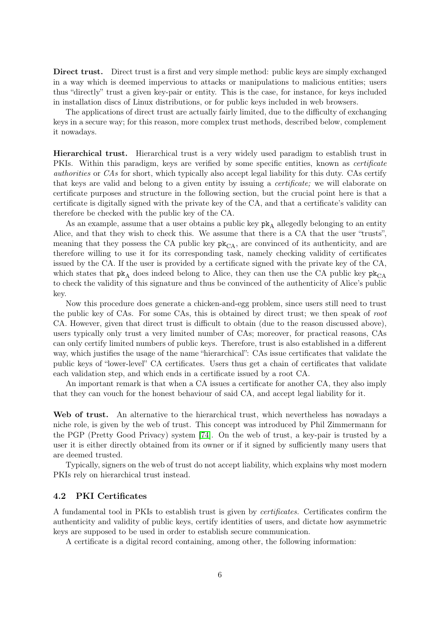Direct trust. Direct trust is a first and very simple method: public keys are simply exchanged in a way which is deemed impervious to attacks or manipulations to malicious entities; users thus "directly" trust a given key-pair or entity. This is the case, for instance, for keys included in installation discs of Linux distributions, or for public keys included in web browsers.

The applications of direct trust are actually fairly limited, due to the difficulty of exchanging keys in a secure way; for this reason, more complex trust methods, described below, complement it nowadays.

Hierarchical trust. Hierarchical trust is a very widely used paradigm to establish trust in PKIs. Within this paradigm, keys are verified by some specific entities, known as certificate authorities or CAs for short, which typically also accept legal liability for this duty. CAs certify that keys are valid and belong to a given entity by issuing a certificate; we will elaborate on certificate purposes and structure in the following section, but the crucial point here is that a certificate is digitally signed with the private key of the CA, and that a certificate's validity can therefore be checked with the public key of the CA.

As an example, assume that a user obtains a public key  $pk_A$  allegedly belonging to an entity Alice, and that they wish to check this. We assume that there is a CA that the user "trusts", meaning that they possess the CA public key  $pk_{CA}$ , are convinced of its authenticity, and are therefore willing to use it for its corresponding task, namely checking validity of certificates issued by the CA. If the user is provided by a certificate signed with the private key of the CA, which states that  $p\mathbf{k}_\Delta$  does indeed belong to Alice, they can then use the CA public key  $p\mathbf{k}_{CA}$ to check the validity of this signature and thus be convinced of the authenticity of Alice's public key.

Now this procedure does generate a chicken-and-egg problem, since users still need to trust the public key of CAs. For some CAs, this is obtained by direct trust; we then speak of root CA. However, given that direct trust is difficult to obtain (due to the reason discussed above), users typically only trust a very limited number of CAs; moreover, for practical reasons, CAs can only certify limited numbers of public keys. Therefore, trust is also established in a different way, which justifies the usage of the name "hierarchical": CAs issue certificates that validate the public keys of "lower-level" CA certificates. Users thus get a chain of certificates that validate each validation step, and which ends in a certificate issued by a root CA.

An important remark is that when a CA issues a certificate for another CA, they also imply that they can vouch for the honest behaviour of said CA, and accept legal liability for it.

Web of trust. An alternative to the hierarchical trust, which nevertheless has nowadays a niche role, is given by the web of trust. This concept was introduced by Phil Zimmermann for the PGP (Pretty Good Privacy) system [\[74\]](#page-27-0). On the web of trust, a key-pair is trusted by a user it is either directly obtained from its owner or if it signed by sufficiently many users that are deemed trusted.

Typically, signers on the web of trust do not accept liability, which explains why most modern PKIs rely on hierarchical trust instead.

## 4.2 PKI Certificates

A fundamental tool in PKIs to establish trust is given by certificates. Certificates confirm the authenticity and validity of public keys, certify identities of users, and dictate how asymmetric keys are supposed to be used in order to establish secure communication.

A certificate is a digital record containing, among other, the following information: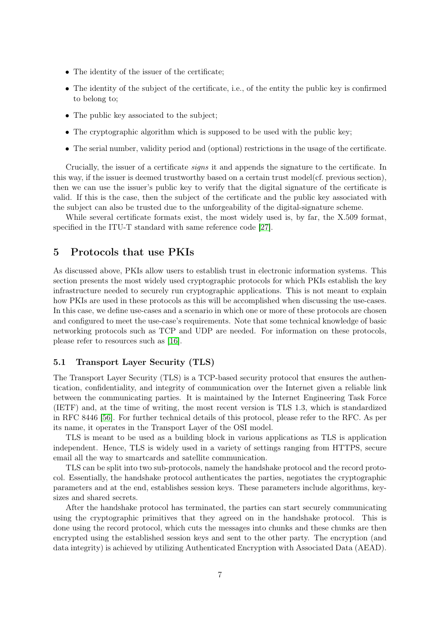- The identity of the issuer of the certificate;
- The identity of the subject of the certificate, i.e., of the entity the public key is confirmed to belong to;
- The public key associated to the subject;
- The cryptographic algorithm which is supposed to be used with the public key;
- The serial number, validity period and (optional) restrictions in the usage of the certificate.

Crucially, the issuer of a certificate signs it and appends the signature to the certificate. In this way, if the issuer is deemed trustworthy based on a certain trust model(cf. previous section), then we can use the issuer's public key to verify that the digital signature of the certificate is valid. If this is the case, then the subject of the certificate and the public key associated with the subject can also be trusted due to the unforgeability of the digital-signature scheme.

While several certificate formats exist, the most widely used is, by far, the X.509 format, specified in the ITU-T standard with same reference code [\[27\]](#page-24-1).

## <span id="page-6-0"></span>5 Protocols that use PKIs

As discussed above, PKIs allow users to establish trust in electronic information systems. This section presents the most widely used cryptographic protocols for which PKIs establish the key infrastructure needed to securely run cryptographic applications. This is not meant to explain how PKIs are used in these protocols as this will be accomplished when discussing the use-cases. In this case, we define use-cases and a scenario in which one or more of these protocols are chosen and configured to meet the use-case's requirements. Note that some technical knowledge of basic networking protocols such as TCP and UDP are needed. For information on these protocols, please refer to resources such as [\[16\]](#page-23-1).

## 5.1 Transport Layer Security (TLS)

The Transport Layer Security (TLS) is a TCP-based security protocol that ensures the authentication, confidentiality, and integrity of communication over the Internet given a reliable link between the communicating parties. It is maintained by the Internet Engineering Task Force (IETF) and, at the time of writing, the most recent version is TLS 1.3, which is standardized in RFC 8446 [\[56\]](#page-26-1). For further technical details of this protocol, please refer to the RFC. As per its name, it operates in the Transport Layer of the OSI model.

TLS is meant to be used as a building block in various applications as TLS is application independent. Hence, TLS is widely used in a variety of settings ranging from HTTPS, secure email all the way to smartcards and satellite communication.

TLS can be split into two sub-protocols, namely the handshake protocol and the record protocol. Essentially, the handshake protocol authenticates the parties, negotiates the cryptographic parameters and at the end, establishes session keys. These parameters include algorithms, keysizes and shared secrets.

After the handshake protocol has terminated, the parties can start securely communicating using the cryptographic primitives that they agreed on in the handshake protocol. This is done using the record protocol, which cuts the messages into chunks and these chunks are then encrypted using the established session keys and sent to the other party. The encryption (and data integrity) is achieved by utilizing Authenticated Encryption with Associated Data (AEAD).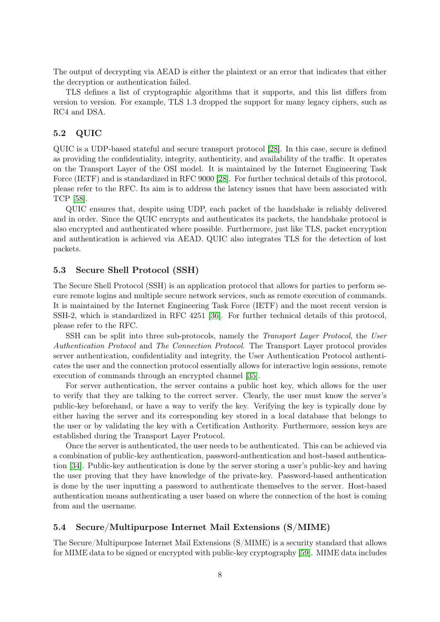The output of decrypting via AEAD is either the plaintext or an error that indicates that either the decryption or authentication failed.

TLS defines a list of cryptographic algorithms that it supports, and this list differs from version to version. For example, TLS 1.3 dropped the support for many legacy ciphers, such as RC4 and DSA.

## 5.2 QUIC

QUIC is a UDP-based stateful and secure transport protocol [\[28\]](#page-24-2). In this case, secure is defined as providing the confidentiality, integrity, authenticity, and availability of the traffic. It operates on the Transport Layer of the OSI model. It is maintained by the Internet Engineering Task Force (IETF) and is standardized in RFC 9000 [\[28\]](#page-24-2). For further technical details of this protocol, please refer to the RFC. Its aim is to address the latency issues that have been associated with TCP [\[58\]](#page-26-2).

QUIC ensures that, despite using UDP, each packet of the handshake is reliably delivered and in order. Since the QUIC encrypts and authenticates its packets, the handshake protocol is also encrypted and authenticated where possible. Furthermore, just like TLS, packet encryption and authentication is achieved via AEAD. QUIC also integrates TLS for the detection of lost packets.

## 5.3 Secure Shell Protocol (SSH)

The Secure Shell Protocol (SSH) is an application protocol that allows for parties to perform secure remote logins and multiple secure network services, such as remote execution of commands. It is maintained by the Internet Engineering Task Force (IETF) and the most recent version is SSH-2, which is standardized in RFC 4251 [\[36\]](#page-25-3). For further technical details of this protocol, please refer to the RFC.

SSH can be split into three sub-protocols, namely the *Transport Layer Protocol*, the User Authentication Protocol and The Connection Protocol. The Transport Layer protocol provides server authentication, confidentiality and integrity, the User Authentication Protocol authenticates the user and the connection protocol essentially allows for interactive login sessions, remote execution of commands through an encrypted channel [\[35\]](#page-25-4).

For server authentication, the server contains a public host key, which allows for the user to verify that they are talking to the correct server. Clearly, the user must know the server's public-key beforehand, or have a way to verify the key. Verifying the key is typically done by either having the server and its corresponding key stored in a local database that belongs to the user or by validating the key with a Certification Authority. Furthermore, session keys are established during the Transport Layer Protocol.

Once the server is authenticated, the user needs to be authenticated. This can be achieved via a combination of public-key authentication, password-authentication and host-based authentication [\[34\]](#page-25-5). Public-key authentication is done by the server storing a user's public-key and having the user proving that they have knowledge of the private-key. Password-based authentication is done by the user inputting a password to authenticate themselves to the server. Host-based authentication means authenticating a user based on where the connection of the host is coming from and the username.

### 5.4 Secure/Multipurpose Internet Mail Extensions (S/MIME)

The Secure/Multipurpose Internet Mail Extensions (S/MIME) is a security standard that allows for MIME data to be signed or encrypted with public-key cryptography [\[59\]](#page-26-3). MIME data includes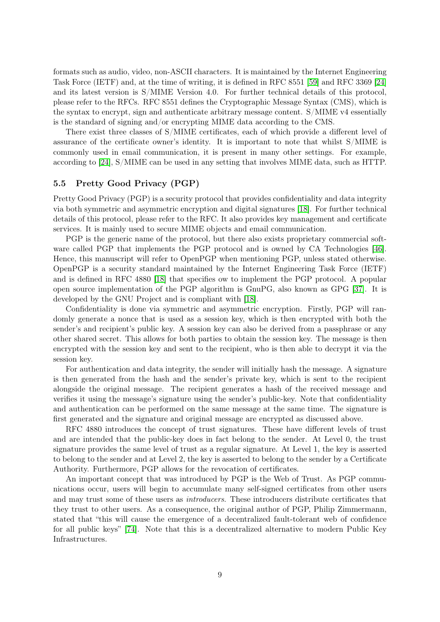formats such as audio, video, non-ASCII characters. It is maintained by the Internet Engineering Task Force (IETF) and, at the time of writing, it is defined in RFC 8551 [\[59\]](#page-26-3) and RFC 3369 [\[24\]](#page-24-3) and its latest version is S/MIME Version 4.0. For further technical details of this protocol, please refer to the RFCs. RFC 8551 defines the Cryptographic Message Syntax (CMS), which is the syntax to encrypt, sign and authenticate arbitrary message content. S/MIME v4 essentially is the standard of signing and/or encrypting MIME data according to the CMS.

There exist three classes of S/MIME certificates, each of which provide a different level of assurance of the certificate owner's identity. It is important to note that whilst S/MIME is commonly used in email communication, it is present in many other settings. For example, according to [\[24\]](#page-24-3), S/MIME can be used in any setting that involves MIME data, such as HTTP.

## <span id="page-8-0"></span>5.5 Pretty Good Privacy (PGP)

Pretty Good Privacy (PGP) is a security protocol that provides confidentiality and data integrity via both symmetric and asymmetric encryption and digital signatures [\[18\]](#page-24-4). For further technical details of this protocol, please refer to the RFC. It also provides key management and certificate services. It is mainly used to secure MIME objects and email communication.

PGP is the generic name of the protocol, but there also exists proprietary commercial software called PGP that implements the PGP protocol and is owned by CA Technologies [\[46\]](#page-25-6). Hence, this manuscript will refer to OpenPGP when mentioning PGP, unless stated otherwise. OpenPGP is a security standard maintained by the Internet Engineering Task Force (IETF) and is defined in RFC 4880 [\[18\]](#page-24-4) that specifies ow to implement the PGP protocol. A popular open source implementation of the PGP algorithm is GnuPG, also known as GPG [\[37\]](#page-25-7). It is developed by the GNU Project and is compliant with [\[18\]](#page-24-4).

Confidentiality is done via symmetric and asymmetric encryption. Firstly, PGP will randomly generate a nonce that is used as a session key, which is then encrypted with both the sender's and recipient's public key. A session key can also be derived from a passphrase or any other shared secret. This allows for both parties to obtain the session key. The message is then encrypted with the session key and sent to the recipient, who is then able to decrypt it via the session key.

For authentication and data integrity, the sender will initially hash the message. A signature is then generated from the hash and the sender's private key, which is sent to the recipient alongside the original message. The recipient generates a hash of the received message and verifies it using the message's signature using the sender's public-key. Note that confidentiality and authentication can be performed on the same message at the same time. The signature is first generated and the signature and original message are encrypted as discussed above.

RFC 4880 introduces the concept of trust signatures. These have different levels of trust and are intended that the public-key does in fact belong to the sender. At Level 0, the trust signature provides the same level of trust as a regular signature. At Level 1, the key is asserted to belong to the sender and at Level 2, the key is asserted to belong to the sender by a Certificate Authority. Furthermore, PGP allows for the revocation of certificates.

An important concept that was introduced by PGP is the Web of Trust. As PGP communications occur, users will begin to accumulate many self-signed certificates from other users and may trust some of these users as introducers. These introducers distribute certificates that they trust to other users. As a consequence, the original author of PGP, Philip Zimmermann, stated that "this will cause the emergence of a decentralized fault-tolerant web of confidence for all public keys" [\[74\]](#page-27-0). Note that this is a decentralized alternative to modern Public Key Infrastructures.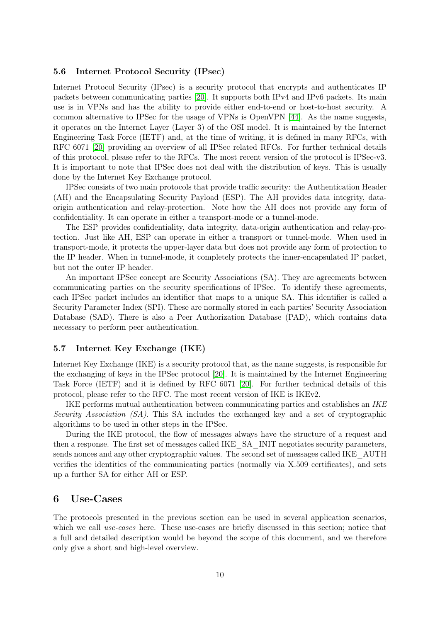### <span id="page-9-1"></span>5.6 Internet Protocol Security (IPsec)

Internet Protocol Security (IPsec) is a security protocol that encrypts and authenticates IP packets between communicating parties [\[20\]](#page-24-5). It supports both IPv4 and IPv6 packets. Its main use is in VPNs and has the ability to provide either end-to-end or host-to-host security. A common alternative to IPSec for the usage of VPNs is OpenVPN [\[44\]](#page-25-8). As the name suggests, it operates on the Internet Layer (Layer 3) of the OSI model. It is maintained by the Internet Engineering Task Force (IETF) and, at the time of writing, it is defined in many RFCs, with RFC 6071 [\[20\]](#page-24-5) providing an overview of all IPSec related RFCs. For further technical details of this protocol, please refer to the RFCs. The most recent version of the protocol is IPSec-v3. It is important to note that IPSec does not deal with the distribution of keys. This is usually done by the Internet Key Exchange protocol.

IPSec consists of two main protocols that provide traffic security: the Authentication Header (AH) and the Encapsulating Security Payload (ESP). The AH provides data integrity, dataorigin authentication and relay-protection. Note how the AH does not provide any form of confidentiality. It can operate in either a transport-mode or a tunnel-mode.

The ESP provides confidentiality, data integrity, data-origin authentication and relay-protection. Just like AH, ESP can operate in either a transport or tunnel-mode. When used in transport-mode, it protects the upper-layer data but does not provide any form of protection to the IP header. When in tunnel-mode, it completely protects the inner-encapsulated IP packet, but not the outer IP header.

An important IPSec concept are Security Associations (SA). They are agreements between communicating parties on the security specifications of IPSec. To identify these agreements, each IPSec packet includes an identifier that maps to a unique SA. This identifier is called a Security Parameter Index (SPI). These are normally stored in each parties' Security Association Database (SAD). There is also a Peer Authorization Database (PAD), which contains data necessary to perform peer authentication.

#### 5.7 Internet Key Exchange (IKE)

Internet Key Exchange (IKE) is a security protocol that, as the name suggests, is responsible for the exchanging of keys in the IPSec protocol [\[20\]](#page-24-5). It is maintained by the Internet Engineering Task Force (IETF) and it is defined by RFC 6071 [\[20\]](#page-24-5). For further technical details of this protocol, please refer to the RFC. The most recent version of IKE is IKEv2.

IKE performs mutual authentication between communicating parties and establishes an IKE Security Association (SA). This SA includes the exchanged key and a set of cryptographic algorithms to be used in other steps in the IPSec.

During the IKE protocol, the flow of messages always have the structure of a request and then a response. The first set of messages called IKE\_SA\_INIT negotiates security parameters, sends nonces and any other cryptographic values. The second set of messages called IKE\_AUTH verifies the identities of the communicating parties (normally via X.509 certificates), and sets up a further SA for either AH or ESP.

## <span id="page-9-0"></span>6 Use-Cases

The protocols presented in the previous section can be used in several application scenarios, which we call use-cases here. These use-cases are briefly discussed in this section; notice that a full and detailed description would be beyond the scope of this document, and we therefore only give a short and high-level overview.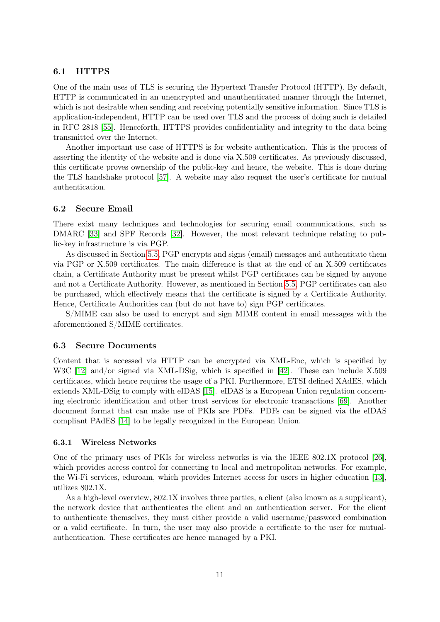## 6.1 HTTPS

One of the main uses of TLS is securing the Hypertext Transfer Protocol (HTTP). By default, HTTP is communicated in an unencrypted and unauthenticated manner through the Internet, which is not desirable when sending and receiving potentially sensitive information. Since TLS is application-independent, HTTP can be used over TLS and the process of doing such is detailed in RFC 2818 [\[55\]](#page-26-4). Henceforth, HTTPS provides confidentiality and integrity to the data being transmitted over the Internet.

Another important use case of HTTPS is for website authentication. This is the process of asserting the identity of the website and is done via X.509 certificates. As previously discussed, this certificate proves ownership of the public-key and hence, the website. This is done during the TLS handshake protocol [\[57\]](#page-26-5). A website may also request the user's certificate for mutual authentication.

#### 6.2 Secure Email

There exist many techniques and technologies for securing email communications, such as DMARC [\[33\]](#page-24-6) and SPF Records [\[32\]](#page-24-7). However, the most relevant technique relating to public-key infrastructure is via PGP.

As discussed in Section [5.5,](#page-8-0) PGP encrypts and signs (email) messages and authenticate them via PGP or X.509 certificates. The main difference is that at the end of an X.509 certificates chain, a Certificate Authority must be present whilst PGP certificates can be signed by anyone and not a Certificate Authority. However, as mentioned in Section [5.5,](#page-8-0) PGP certificates can also be purchased, which effectively means that the certificate is signed by a Certificate Authority. Hence, Certificate Authorities can (but do not have to) sign PGP certificates.

S/MIME can also be used to encrypt and sign MIME content in email messages with the aforementioned S/MIME certificates.

#### 6.3 Secure Documents

Content that is accessed via HTTP can be encrypted via XML-Enc, which is specified by W3C [\[12\]](#page-23-2) and/or signed via XML-DSig, which is specified in [\[42\]](#page-25-9). These can include X.509 certificates, which hence requires the usage of a PKI. Furthermore, ETSI defined XAdES, which extends XML-DSig to comply with eIDAS [\[15\]](#page-23-3). eIDAS is a European Union regulation concerning electronic identification and other trust services for electronic transactions [\[69\]](#page-27-1). Another document format that can make use of PKIs are PDFs. PDFs can be signed via the eIDAS compliant PAdES [\[14\]](#page-23-4) to be legally recognized in the European Union.

#### 6.3.1 Wireless Networks

One of the primary uses of PKIs for wireless networks is via the IEEE 802.1X protocol [\[26\]](#page-24-8), which provides access control for connecting to local and metropolitan networks. For example, the Wi-Fi services, eduroam, which provides Internet access for users in higher education [\[13\]](#page-23-5), utilizes 802.1X.

As a high-level overview, 802.1X involves three parties, a client (also known as a supplicant), the network device that authenticates the client and an authentication server. For the client to authenticate themselves, they must either provide a valid username/password combination or a valid certificate. In turn, the user may also provide a certificate to the user for mutualauthentication. These certificates are hence managed by a PKI.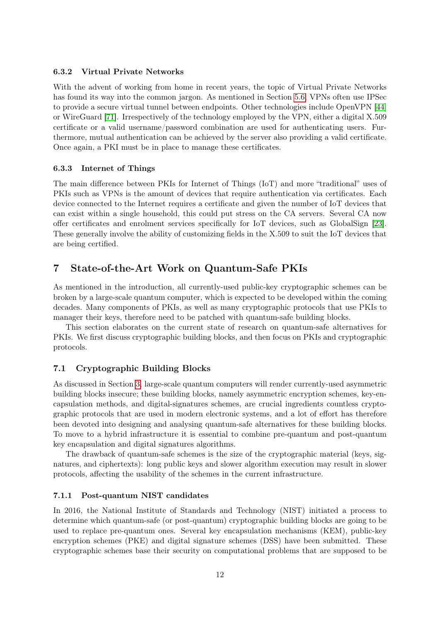## 6.3.2 Virtual Private Networks

With the advent of working from home in recent years, the topic of Virtual Private Networks has found its way into the common jargon. As mentioned in Section [5.6,](#page-9-1) VPNs often use IPSec to provide a secure virtual tunnel between endpoints. Other technologies include OpenVPN [\[44\]](#page-25-8) or WireGuard [\[71\]](#page-27-2). Irrespectively of the technology employed by the VPN, either a digital X.509 certificate or a valid username/password combination are used for authenticating users. Furthermore, mutual authentication can be achieved by the server also providing a valid certificate. Once again, a PKI must be in place to manage these certificates.

#### 6.3.3 Internet of Things

The main difference between PKIs for Internet of Things (IoT) and more "traditional" uses of PKIs such as VPNs is the amount of devices that require authentication via certificates. Each device connected to the Internet requires a certificate and given the number of IoT devices that can exist within a single household, this could put stress on the CA servers. Several CA now offer certificates and enrolment services specifically for IoT devices, such as GlobalSign [\[23\]](#page-24-9). These generally involve the ability of customizing fields in the X.509 to suit the IoT devices that are being certified.

## <span id="page-11-0"></span>7 State-of-the-Art Work on Quantum-Safe PKIs

As mentioned in the introduction, all currently-used public-key cryptographic schemes can be broken by a large-scale quantum computer, which is expected to be developed within the coming decades. Many components of PKIs, as well as many cryptographic protocols that use PKIs to manager their keys, therefore need to be patched with quantum-safe building blocks.

This section elaborates on the current state of research on quantum-safe alternatives for PKIs. We first discuss cryptographic building blocks, and then focus on PKIs and cryptographic protocols.

## 7.1 Cryptographic Building Blocks

As discussed in Section [3,](#page-2-0) large-scale quantum computers will render currently-used asymmetric building blocks insecure; these building blocks, namely asymmetric encryption schemes, key-encapsulation methods, and digital-signatures schemes, are crucial ingredients countless cryptographic protocols that are used in modern electronic systems, and a lot of effort has therefore been devoted into designing and analysing quantum-safe alternatives for these building blocks. To move to a hybrid infrastructure it is essential to combine pre-quantum and post-quantum key encapsulation and digital signatures algorithms.

The drawback of quantum-safe schemes is the size of the cryptographic material (keys, signatures, and ciphertexts): long public keys and slower algorithm execution may result in slower protocols, affecting the usability of the schemes in the current infrastructure.

### 7.1.1 Post-quantum NIST candidates

In 2016, the National Institute of Standards and Technology (NIST) initiated a process to determine which quantum-safe (or post-quantum) cryptographic building blocks are going to be used to replace pre-quantum ones. Several key encapsulation mechanisms (KEM), public-key encryption schemes (PKE) and digital signature schemes (DSS) have been submitted. These cryptographic schemes base their security on computational problems that are supposed to be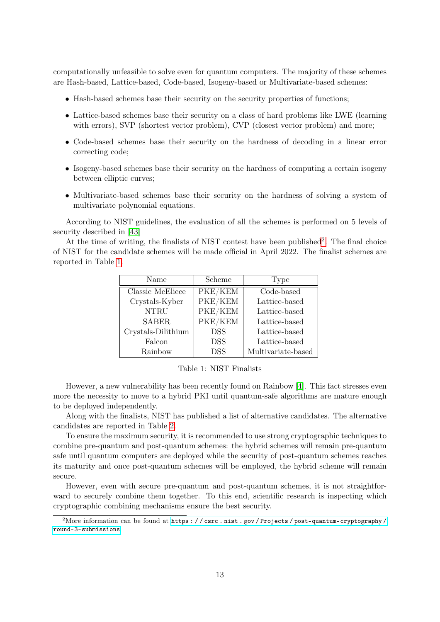computationally unfeasible to solve even for quantum computers. The majority of these schemes are Hash-based, Lattice-based, Code-based, Isogeny-based or Multivariate-based schemes:

- Hash-based schemes base their security on the security properties of functions;
- Lattice-based schemes base their security on a class of hard problems like LWE (learning with errors), SVP (shortest vector problem), CVP (closest vector problem) and more;
- Code-based schemes base their security on the hardness of decoding in a linear error correcting code;
- Isogeny-based schemes base their security on the hardness of computing a certain isogeny between elliptic curves;
- Multivariate-based schemes base their security on the hardness of solving a system of multivariate polynomial equations.

According to NIST guidelines, the evaluation of all the schemes is performed on 5 levels of security described in [\[43\]](#page-25-10)

At the time of writing, the finalists of NIST contest have been published<sup>[2](#page-12-0)</sup>. The final choice of NIST for the candidate schemes will be made official in April 2022. The finalist schemes are reported in Table [1.](#page-12-1)

| Name               | Scheme     | Type               |  |
|--------------------|------------|--------------------|--|
| Classic McEliece   | PKE/KEM    | Code-based         |  |
| Crystals-Kyber     | PKE/KEM    | Lattice-based      |  |
| <b>NTRU</b>        | PKE/KEM    | Lattice-based      |  |
| <b>SABER</b>       | PKE/KEM    | Lattice-based      |  |
| Crystals-Dilithium | <b>DSS</b> | Lattice-based      |  |
| Falcon             | <b>DSS</b> | Lattice-based      |  |
| Rainbow            | <b>DSS</b> | Multivariate-based |  |

<span id="page-12-1"></span>Table 1: NIST Finalists

However, a new vulnerability has been recently found on Rainbow [\[4\]](#page-23-6). This fact stresses even more the necessity to move to a hybrid PKI until quantum-safe algorithms are mature enough to be deployed independently.

Along with the finalists, NIST has published a list of alternative candidates. The alternative candidates are reported in Table [2.](#page-13-0)

To ensure the maximum security, it is recommended to use strong cryptographic techniques to combine pre-quantum and post-quantum schemes: the hybrid schemes will remain pre-quantum safe until quantum computers are deployed while the security of post-quantum schemes reaches its maturity and once post-quantum schemes will be employed, the hybrid scheme will remain secure.

However, even with secure pre-quantum and post-quantum schemes, it is not straightforward to securely combine them together. To this end, scientific research is inspecting which cryptographic combining mechanisms ensure the best security.

<span id="page-12-0"></span><sup>&</sup>lt;sup>2</sup>More information can be found at https : // csrc.nist.gov/Projects/post-quantum-cryptography/ [round-3-submissions](https://csrc.nist.gov/Projects/post-quantum-cryptography/round-3-submissions)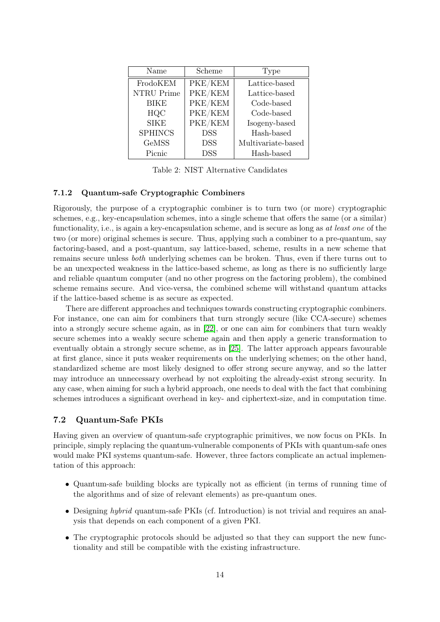| Name           | Scheme                             | Type               |  |
|----------------|------------------------------------|--------------------|--|
| FrodoKEM       | $\overline{\text{PKE}}/\text{KEM}$ | Lattice-based      |  |
| NTRU Prime     | PKE/KEM                            | Lattice-based      |  |
| <b>BIKE</b>    | PKE/KEM                            | Code-based         |  |
| HQC            | PKE/KEM                            | Code-based         |  |
| <b>SIKE</b>    | PKE/KEM                            | Isogeny-based      |  |
| <b>SPHINCS</b> | <b>DSS</b>                         | Hash-based         |  |
| <b>GeMSS</b>   | <b>DSS</b>                         | Multivariate-based |  |
| Picnic         | <b>DSS</b>                         | Hash-based         |  |

<span id="page-13-0"></span>Table 2: NIST Alternative Candidates

## 7.1.2 Quantum-safe Cryptographic Combiners

Rigorously, the purpose of a cryptographic combiner is to turn two (or more) cryptographic schemes, e.g., key-encapsulation schemes, into a single scheme that offers the same (or a similar) functionality, i.e., is again a key-encapsulation scheme, and is secure as long as at least one of the two (or more) original schemes is secure. Thus, applying such a combiner to a pre-quantum, say factoring-based, and a post-quantum, say lattice-based, scheme, results in a new scheme that remains secure unless both underlying schemes can be broken. Thus, even if there turns out to be an unexpected weakness in the lattice-based scheme, as long as there is no sufficiently large and reliable quantum computer (and no other progress on the factoring problem), the combined scheme remains secure. And vice-versa, the combined scheme will withstand quantum attacks if the lattice-based scheme is as secure as expected.

There are different approaches and techniques towards constructing cryptographic combiners. For instance, one can aim for combiners that turn strongly secure (like CCA-secure) schemes into a strongly secure scheme again, as in [\[22\]](#page-24-10), or one can aim for combiners that turn weakly secure schemes into a weakly secure scheme again and then apply a generic transformation to eventually obtain a strongly secure scheme, as in [\[25\]](#page-24-11). The latter approach appears favourable at first glance, since it puts weaker requirements on the underlying schemes; on the other hand, standardized scheme are most likely designed to offer strong secure anyway, and so the latter may introduce an unnecessary overhead by not exploiting the already-exist strong security. In any case, when aiming for such a hybrid approach, one needs to deal with the fact that combining schemes introduces a significant overhead in key- and ciphertext-size, and in computation time.

## <span id="page-13-1"></span>7.2 Quantum-Safe PKIs

Having given an overview of quantum-safe cryptographic primitives, we now focus on PKIs. In principle, simply replacing the quantum-vulnerable components of PKIs with quantum-safe ones would make PKI systems quantum-safe. However, three factors complicate an actual implementation of this approach:

- Quantum-safe building blocks are typically not as efficient (in terms of running time of the algorithms and of size of relevant elements) as pre-quantum ones.
- Designing *hybrid* quantum-safe PKIs (cf. Introduction) is not trivial and requires an analysis that depends on each component of a given PKI.
- The cryptographic protocols should be adjusted so that they can support the new functionality and still be compatible with the existing infrastructure.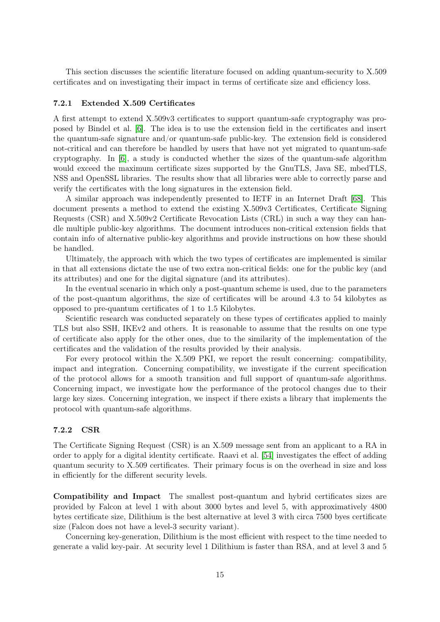This section discusses the scientific literature focused on adding quantum-security to X.509 certificates and on investigating their impact in terms of certificate size and efficiency loss.

#### 7.2.1 Extended X.509 Certificates

A first attempt to extend X.509v3 certificates to support quantum-safe cryptography was proposed by Bindel et al. [\[6\]](#page-23-7). The idea is to use the extension field in the certificates and insert the quantum-safe signature and/or quantum-safe public-key. The extension field is considered not-critical and can therefore be handled by users that have not yet migrated to quantum-safe cryptography. In [\[6\]](#page-23-7), a study is conducted whether the sizes of the quantum-safe algorithm would exceed the maximum certificate sizes supported by the GnuTLS, Java SE, mbedTLS, NSS and OpenSSL libraries. The results show that all libraries were able to correctly parse and verify the certificates with the long signatures in the extension field.

A similar approach was independently presented to IETF in an Internet Draft [\[68\]](#page-27-3). This document presents a method to extend the existing X.509v3 Certificates, Certificate Signing Requests (CSR) and X.509v2 Certificate Revocation Lists (CRL) in such a way they can handle multiple public-key algorithms. The document introduces non-critical extension fields that contain info of alternative public-key algorithms and provide instructions on how these should be handled.

Ultimately, the approach with which the two types of certificates are implemented is similar in that all extensions dictate the use of two extra non-critical fields: one for the public key (and its attributes) and one for the digital signature (and its attributes).

In the eventual scenario in which only a post-quantum scheme is used, due to the parameters of the post-quantum algorithms, the size of certificates will be around 4.3 to 54 kilobytes as opposed to pre-quantum certificates of 1 to 1.5 Kilobytes.

Scientific research was conducted separately on these types of certificates applied to mainly TLS but also SSH, IKEv2 and others. It is reasonable to assume that the results on one type of certificate also apply for the other ones, due to the similarity of the implementation of the certificates and the validation of the results provided by their analysis.

For every protocol within the X.509 PKI, we report the result concerning: compatibility, impact and integration. Concerning compatibility, we investigate if the current specification of the protocol allows for a smooth transition and full support of quantum-safe algorithms. Concerning impact, we investigate how the performance of the protocol changes due to their large key sizes. Concerning integration, we inspect if there exists a library that implements the protocol with quantum-safe algorithms.

### 7.2.2 CSR

The Certificate Signing Request (CSR) is an X.509 message sent from an applicant to a RA in order to apply for a digital identity certificate. Raavi et al. [\[54\]](#page-26-6) investigates the effect of adding quantum security to X.509 certificates. Their primary focus is on the overhead in size and loss in efficiently for the different security levels.

Compatibility and Impact The smallest post-quantum and hybrid certificates sizes are provided by Falcon at level 1 with about 3000 bytes and level 5, with approximatively 4800 bytes certificate size, Dilithium is the best alternative at level 3 with circa 7500 byes certificate size (Falcon does not have a level-3 security variant).

Concerning key-generation, Dilithium is the most efficient with respect to the time needed to generate a valid key-pair. At security level 1 Dilithium is faster than RSA, and at level 3 and 5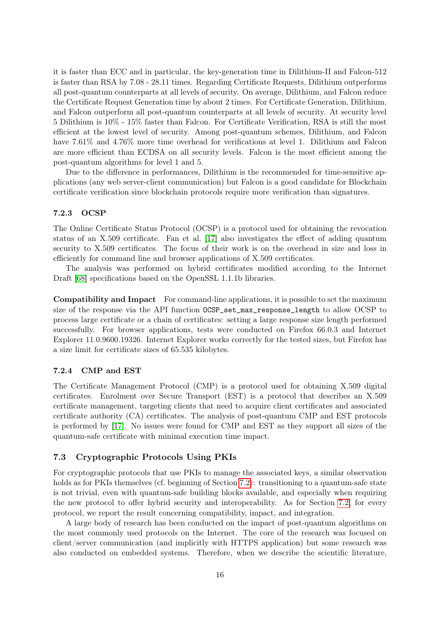it is faster than ECC and in particular, the key-generation time in Dilithium-II and Falcon-512 is faster than RSA by 7.08 - 28.11 times. Regarding Certificate Requests, Dilithium outperforms all post-quantum counterparts at all levels of security. On average, Dilithium, and Falcon reduce the Certificate Request Generation time by about 2 times. For Certificate Generation, Dilithium, and Falcon outperform all post-quantum counterparts at all levels of security. At security level 5 Dilithium is 10% - 15% faster than Falcon. For Certificate Verification, RSA is still the most efficient at the lowest level of security. Among post-quantum schemes, Dilithium, and Falcon have  $7.61\%$  and  $4.76\%$  more time overhead for verifications at level 1. Dilithium and Falcon are more efficient than ECDSA on all security levels. Falcon is the most efficient among the post-quantum algorithms for level 1 and 5.

Due to the difference in performances, Dilithium is the recommended for time-sensitive applications (any web server-client communication) but Falcon is a good candidate for Blockchain certificate verification since blockchain protocols require more verification than signatures.

## 7.2.3 OCSP

The Online Certificate Status Protocol (OCSP) is a protocol used for obtaining the revocation status of an X.509 certificate. Fan et al. [\[17\]](#page-24-12) also investigates the effect of adding quantum security to X.509 certificates. The focus of their work is on the overhead in size and loss in efficiently for command line and browser applications of X.509 certificates.

The analysis was performed on hybrid certificates modified according to the Internet Draft [\[68\]](#page-27-3) specifications based on the OpenSSL 1.1.1b libraries.

Compatibility and Impact For command-line applications, it is possible to set the maximum size of the response via the API function OCSP\_set\_max\_response\_length to allow OCSP to process large certificate or a chain of certificates: setting a large response size length performed successfully. For browser applications, tests were conducted on Firefox 66.0.3 and Internet Explorer 11.0.9600.19326. Internet Explorer works correctly for the tested sizes, but Firefox has a size limit for certificate sizes of 65.535 kilobytes.

#### 7.2.4 CMP and EST

The Certificate Management Protocol (CMP) is a protocol used for obtaining X.509 digital certificates. Enrolment over Secure Transport (EST) is a protocol that describes an X.509 certificate management, targeting clients that need to acquire client certificates and associated certificate authority (CA) certificates. The analysis of post-quantum CMP and EST protocols is performed by [\[17\]](#page-24-12). No issues were found for CMP and EST as they support all sizes of the quantum-safe certificate with minimal execution time impact.

## <span id="page-15-0"></span>7.3 Cryptographic Protocols Using PKIs

For cryptographic protocols that use PKIs to manage the associated keys, a similar observation holds as for PKIs themselves (cf. beginning of Section [7.2\)](#page-13-1): transitioning to a quantum-safe state is not trivial, even with quantum-safe building blocks available, and especially when requiring the new protocol to offer hybrid security and interoperability. As for Section [7.2,](#page-13-1) for every protocol, we report the result concerning compatibility, impact, and integration.

A large body of research has been conducted on the impact of post-quantum algorithms on the most commonly used protocols on the Internet. The core of the research was focused on client/server communication (and implicitly with HTTPS application) but some research was also conducted on embedded systems. Therefore, when we describe the scientific literature,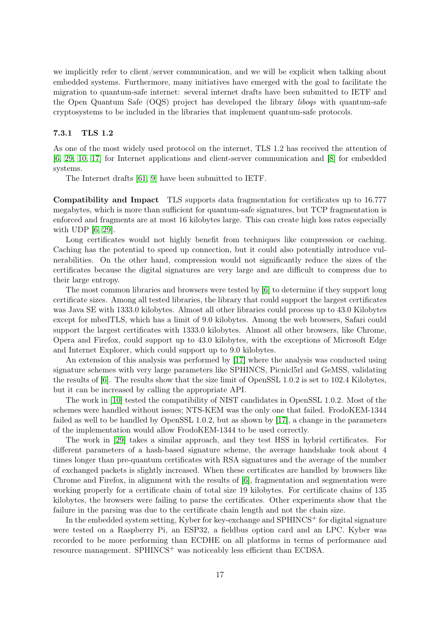we implicitly refer to client/server communication, and we will be explicit when talking about embedded systems. Furthermore, many initiatives have emerged with the goal to facilitate the migration to quantum-safe internet: several internet drafts have been submitted to IETF and the Open Quantum Safe (OQS) project has developed the library liboqs with quantum-safe cryptosystems to be included in the libraries that implement quantum-safe protocols.

## 7.3.1 TLS 1.2

As one of the most widely used protocol on the internet, TLS 1.2 has received the attention of [\[6,](#page-23-7) [29,](#page-24-13) [10,](#page-23-8) [17\]](#page-24-12) for Internet applications and client-server communication and [\[8\]](#page-23-9) for embedded systems.

The Internet drafts [\[61,](#page-26-7) [9\]](#page-23-10) have been submitted to IETF.

Compatibility and Impact TLS supports data fragmentation for certificates up to 16.777 megabytes, which is more than sufficient for quantum-safe signatures, but TCP fragmentation is enforced and fragments are at most 16 kilobytes large. This can create high loss rates especially with UDP [\[6,](#page-23-7) [29\]](#page-24-13).

Long certificates would not highly benefit from techniques like compression or caching. Caching has the potential to speed up connection, but it could also potentially introduce vulnerabilities. On the other hand, compression would not significantly reduce the sizes of the certificates because the digital signatures are very large and are difficult to compress due to their large entropy.

The most common libraries and browsers were tested by [\[6\]](#page-23-7) to determine if they support long certificate sizes. Among all tested libraries, the library that could support the largest certificates was Java SE with 1333.0 kilobytes. Almost all other libraries could process up to 43.0 Kilobytes except for mbedTLS, which has a limit of 9.0 kilobytes. Among the web browsers, Safari could support the largest certificates with 1333.0 kilobytes. Almost all other browsers, like Chrome, Opera and Firefox, could support up to 43.0 kilobytes, with the exceptions of Microsoft Edge and Internet Explorer, which could support up to 9.0 kilobytes.

An extension of this analysis was performed by [\[17\]](#page-24-12) where the analysis was conducted using signature schemes with very large parameters like SPHINCS, Picnicl5rl and GeMSS, validating the results of [\[6\]](#page-23-7). The results show that the size limit of OpenSSL 1.0.2 is set to 102.4 Kilobytes, but it can be increased by calling the appropriate API.

The work in [\[10\]](#page-23-8) tested the compatibility of NIST candidates in OpenSSL 1.0.2. Most of the schemes were handled without issues; NTS-KEM was the only one that failed. FrodoKEM-1344 failed as well to be handled by OpenSSL 1.0.2, but as shown by [\[17\]](#page-24-12), a change in the parameters of the implementation would allow FrodoKEM-1344 to be used correctly.

The work in [\[29\]](#page-24-13) takes a similar approach, and they test HSS in hybrid certificates. For different parameters of a hash-based signature scheme, the average handshake took about 4 times longer than pre-quantum certificates with RSA signatures and the average of the number of exchanged packets is slightly increased. When these certificates are handled by browsers like Chrome and Firefox, in alignment with the results of [\[6\]](#page-23-7), fragmentation and segmentation were working properly for a certificate chain of total size 19 kilobytes. For certificate chains of 135 kilobytes, the browsers were failing to parse the certificates. Other experiments show that the failure in the parsing was due to the certificate chain length and not the chain size.

In the embedded system setting, Kyber for key-exchange and  $SPHINCS<sup>+</sup>$  for digital signature were tested on a Raspberry Pi, an ESP32, a fieldbus option card and an LPC. Kyber was recorded to be more performing than ECDHE on all platforms in terms of performance and resource management. SPHINCS<sup>+</sup> was noticeably less efficient than ECDSA.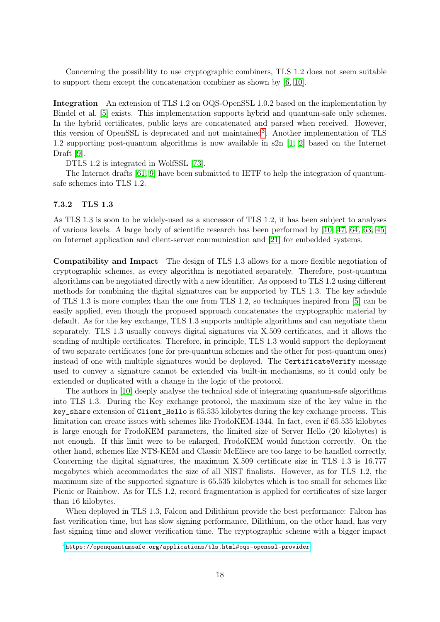Concerning the possibility to use cryptographic combiners, TLS 1.2 does not seem suitable to support them except the concatenation combiner as shown by [\[6,](#page-23-7) [10\]](#page-23-8).

Integration An extension of TLS 1.2 on OQS-OpenSSL 1.0.2 based on the implementation by Bindel et al. [\[5\]](#page-23-11) exists. This implementation supports hybrid and quantum-safe only schemes. In the hybrid certificates, public keys are concatenated and parsed when received. However, this version of OpenSSL is deprecated and not maintained<sup>[3](#page-17-0)</sup>. Another implementation of TLS 1.2 supporting post-quantum algorithms is now available in s2n [\[1,](#page-22-0) [2\]](#page-22-1) based on the Internet Draft [\[9\]](#page-23-10).

DTLS 1.2 is integrated in WolfSSL [\[73\]](#page-27-4).

The Internet drafts [\[61,](#page-26-7) [9\]](#page-23-10) have been submitted to IETF to help the integration of quantumsafe schemes into TLS 1.2.

#### 7.3.2 TLS 1.3

As TLS 1.3 is soon to be widely-used as a successor of TLS 1.2, it has been subject to analyses of various levels. A large body of scientific research has been performed by [\[10,](#page-23-8) [47,](#page-25-11) [64,](#page-26-8) [63,](#page-26-9) [45\]](#page-25-12) on Internet application and client-server communication and [\[21\]](#page-24-14) for embedded systems.

Compatibility and Impact The design of TLS 1.3 allows for a more flexible negotiation of cryptographic schemes, as every algorithm is negotiated separately. Therefore, post-quantum algorithms can be negotiated directly with a new identifier. As opposed to TLS 1.2 using different methods for combining the digital signatures can be supported by TLS 1.3. The key schedule of TLS 1.3 is more complex than the one from TLS 1.2, so techniques inspired from [\[5\]](#page-23-11) can be easily applied, even though the proposed approach concatenates the cryptographic material by default. As for the key exchange, TLS 1.3 supports multiple algorithms and can negotiate them separately. TLS 1.3 usually conveys digital signatures via X.509 certificates, and it allows the sending of multiple certificates. Therefore, in principle, TLS 1.3 would support the deployment of two separate certificates (one for pre-quantum schemes and the other for post-quantum ones) instead of one with multiple signatures would be deployed. The CertificateVerify message used to convey a signature cannot be extended via built-in mechanisms, so it could only be extended or duplicated with a change in the logic of the protocol.

The authors in [\[10\]](#page-23-8) deeply analyse the technical side of integrating quantum-safe algorithms into TLS 1.3. During the Key exchange protocol, the maximum size of the key value in the key\_share extension of Client\_Hello is 65.535 kilobytes during the key exchange process. This limitation can create issues with schemes like FrodoKEM-1344. In fact, even if 65.535 kilobytes is large enough for FrodoKEM parameters, the limited size of Server Hello (20 kilobytes) is not enough. If this limit were to be enlarged, FrodoKEM would function correctly. On the other hand, schemes like NTS-KEM and Classic McEliece are too large to be handled correctly. Concerning the digital signatures, the maximum X.509 certificate size in TLS 1.3 is 16.777 megabytes which accommodates the size of all NIST finalists. However, as for TLS 1.2, the maximum size of the supported signature is 65.535 kilobytes which is too small for schemes like Picnic or Rainbow. As for TLS 1.2, record fragmentation is applied for certificates of size larger than 16 kilobytes.

When deployed in TLS 1.3, Falcon and Dilithium provide the best performance: Falcon has fast verification time, but has slow signing performance, Dilithium, on the other hand, has very fast signing time and slower verification time. The cryptographic scheme with a bigger impact

<span id="page-17-0"></span> $^3$ <https://openquantumsafe.org/applications/tls.html#oqs-openssl-provider>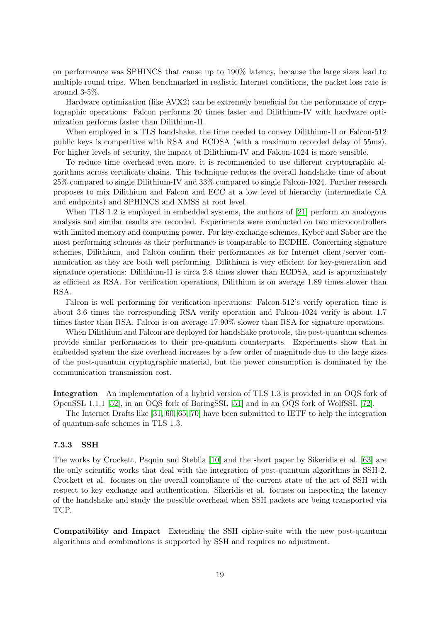on performance was SPHINCS that cause up to 190% latency, because the large sizes lead to multiple round trips. When benchmarked in realistic Internet conditions, the packet loss rate is around 3-5%.

Hardware optimization (like AVX2) can be extremely beneficial for the performance of cryptographic operations: Falcon performs 20 times faster and Dilithium-IV with hardware optimization performs faster than Dilithium-II.

When employed in a TLS handshake, the time needed to convey Dilithium-II or Falcon-512 public keys is competitive with RSA and ECDSA (with a maximum recorded delay of 55ms). For higher levels of security, the impact of Dilithium-IV and Falcon-1024 is more sensible.

To reduce time overhead even more, it is recommended to use different cryptographic algorithms across certificate chains. This technique reduces the overall handshake time of about 25% compared to single Dilithium-IV and 33% compared to single Falcon-1024. Further research proposes to mix Dilithium and Falcon and ECC at a low level of hierarchy (intermediate CA and endpoints) and SPHINCS and XMSS at root level.

When TLS 1.2 is employed in embedded systems, the authors of [\[21\]](#page-24-14) perform an analogous analysis and similar results are recorded. Experiments were conducted on two microcontrollers with limited memory and computing power. For key-exchange schemes, Kyber and Saber are the most performing schemes as their performance is comparable to ECDHE. Concerning signature schemes, Dilithium, and Falcon confirm their performances as for Internet client/server communication as they are both well performing. Dilithium is very efficient for key-generation and signature operations: Dilithium-II is circa 2.8 times slower than ECDSA, and is approximately as efficient as RSA. For verification operations, Dilithium is on average 1.89 times slower than RSA.

Falcon is well performing for verification operations: Falcon-512's verify operation time is about 3.6 times the corresponding RSA verify operation and Falcon-1024 verify is about 1.7 times faster than RSA. Falcon is on average 17.90% slower than RSA for signature operations.

When Dilithium and Falcon are deployed for handshake protocols, the post-quantum schemes provide similar performances to their pre-quantum counterparts. Experiments show that in embedded system the size overhead increases by a few order of magnitude due to the large sizes of the post-quantum cryptographic material, but the power consumption is dominated by the communication transmission cost.

Integration An implementation of a hybrid version of TLS 1.3 is provided in an OQS fork of OpenSSL 1.1.1 [\[52\]](#page-26-10), in an OQS fork of BoringSSL [\[51\]](#page-26-11) and in an OQS fork of WolfSSL [\[72\]](#page-27-5).

The Internet Drafts like [\[31,](#page-24-15) [60,](#page-26-12) [65,](#page-27-6) [70\]](#page-27-7) have been submitted to IETF to help the integration of quantum-safe schemes in TLS 1.3.

## 7.3.3 SSH

The works by Crockett, Paquin and Stebila [\[10\]](#page-23-8) and the short paper by Sikeridis et al. [\[63\]](#page-26-9) are the only scientific works that deal with the integration of post-quantum algorithms in SSH-2. Crockett et al. focuses on the overall compliance of the current state of the art of SSH with respect to key exchange and authentication. Sikeridis et al. focuses on inspecting the latency of the handshake and study the possible overhead when SSH packets are being transported via TCP.

Compatibility and Impact Extending the SSH cipher-suite with the new post-quantum algorithms and combinations is supported by SSH and requires no adjustment.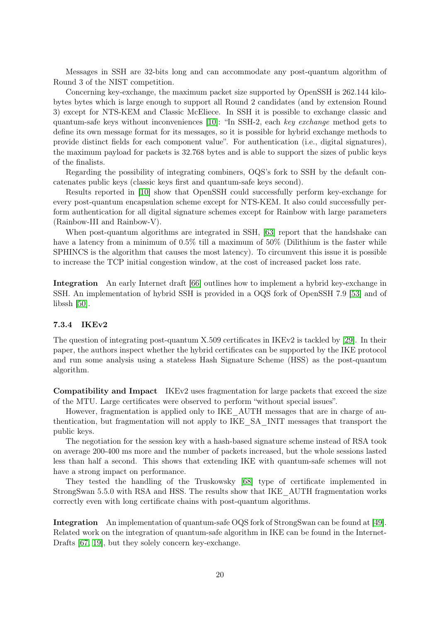Messages in SSH are 32-bits long and can accommodate any post-quantum algorithm of Round 3 of the NIST competition.

Concerning key-exchange, the maximum packet size supported by OpenSSH is 262.144 kilobytes bytes which is large enough to support all Round 2 candidates (and by extension Round 3) except for NTS-KEM and Classic McEliece. In SSH it is possible to exchange classic and quantum-safe keys without inconveniences [\[10\]](#page-23-8): "In SSH-2, each key exchange method gets to define its own message format for its messages, so it is possible for hybrid exchange methods to provide distinct fields for each component value". For authentication (i.e., digital signatures), the maximum payload for packets is 32.768 bytes and is able to support the sizes of public keys of the finalists.

Regarding the possibility of integrating combiners, OQS's fork to SSH by the default concatenates public keys (classic keys first and quantum-safe keys second).

Results reported in [\[10\]](#page-23-8) show that OpenSSH could successfully perform key-exchange for every post-quantum encapsulation scheme except for NTS-KEM. It also could successfully perform authentication for all digital signature schemes except for Rainbow with large parameters (Rainbow-III and Rainbow-V).

When post-quantum algorithms are integrated in SSH, [\[63\]](#page-26-9) report that the handshake can have a latency from a minimum of 0.5% till a maximum of 50% (Dilithium is the faster while SPHINCS is the algorithm that causes the most latency). To circumvent this issue it is possible to increase the TCP initial congestion window, at the cost of increased packet loss rate.

Integration An early Internet draft [\[66\]](#page-27-8) outlines how to implement a hybrid key-exchange in SSH. An implementation of hybrid SSH is provided in a OQS fork of OpenSSH 7.9 [\[53\]](#page-26-13) and of libssh [\[50\]](#page-26-14).

#### <span id="page-19-0"></span>7.3.4 IKEv2

The question of integrating post-quantum X.509 certificates in IKEv2 is tackled by [\[29\]](#page-24-13). In their paper, the authors inspect whether the hybrid certificates can be supported by the IKE protocol and run some analysis using a stateless Hash Signature Scheme (HSS) as the post-quantum algorithm.

Compatibility and Impact IKEv2 uses fragmentation for large packets that exceed the size of the MTU. Large certificates were observed to perform "without special issues".

However, fragmentation is applied only to IKE\_AUTH messages that are in charge of authentication, but fragmentation will not apply to IKE\_SA\_INIT messages that transport the public keys.

The negotiation for the session key with a hash-based signature scheme instead of RSA took on average 200-400 ms more and the number of packets increased, but the whole sessions lasted less than half a second. This shows that extending IKE with quantum-safe schemes will not have a strong impact on performance.

They tested the handling of the Truskowsky [\[68\]](#page-27-3) type of certificate implemented in StrongSwan 5.5.0 with RSA and HSS. The results show that IKE\_AUTH fragmentation works correctly even with long certificate chains with post-quantum algorithms.

Integration An implementation of quantum-safe OQS fork of StrongSwan can be found at [\[49\]](#page-25-13). Related work on the integration of quantum-safe algorithm in IKE can be found in the Internet-Drafts [\[67,](#page-27-9) [19\]](#page-24-16), but they solely concern key-exchange.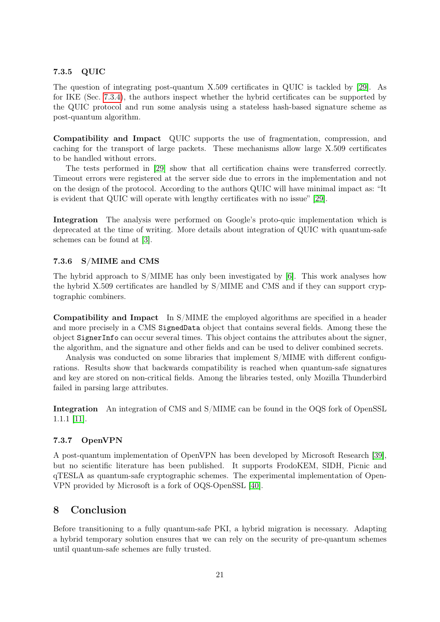## 7.3.5 QUIC

The question of integrating post-quantum X.509 certificates in QUIC is tackled by [\[29\]](#page-24-13). As for IKE (Sec. [7.3.4\)](#page-19-0), the authors inspect whether the hybrid certificates can be supported by the QUIC protocol and run some analysis using a stateless hash-based signature scheme as post-quantum algorithm.

Compatibility and Impact QUIC supports the use of fragmentation, compression, and caching for the transport of large packets. These mechanisms allow large X.509 certificates to be handled without errors.

The tests performed in [\[29\]](#page-24-13) show that all certification chains were transferred correctly. Timeout errors were registered at the server side due to errors in the implementation and not on the design of the protocol. According to the authors QUIC will have minimal impact as: "It is evident that QUIC will operate with lengthy certificates with no issue" [\[29\]](#page-24-13).

Integration The analysis were performed on Google's proto-quic implementation which is deprecated at the time of writing. More details about integration of QUIC with quantum-safe schemes can be found at [\[3\]](#page-23-12).

## 7.3.6 S/MIME and CMS

The hybrid approach to  $S/MIME$  has only been investigated by [\[6\]](#page-23-7). This work analyses how the hybrid X.509 certificates are handled by S/MIME and CMS and if they can support cryptographic combiners.

Compatibility and Impact In S/MIME the employed algorithms are specified in a header and more precisely in a CMS SignedData object that contains several fields. Among these the object SignerInfo can occur several times. This object contains the attributes about the signer, the algorithm, and the signature and other fields and can be used to deliver combined secrets.

Analysis was conducted on some libraries that implement S/MIME with different configurations. Results show that backwards compatibility is reached when quantum-safe signatures and key are stored on non-critical fields. Among the libraries tested, only Mozilla Thunderbird failed in parsing large attributes.

Integration An integration of CMS and S/MIME can be found in the OQS fork of OpenSSL 1.1.1 [\[11\]](#page-23-13).

## 7.3.7 OpenVPN

A post-quantum implementation of OpenVPN has been developed by Microsoft Research [\[39\]](#page-25-14), but no scientific literature has been published. It supports FrodoKEM, SIDH, Picnic and qTESLA as quantum-safe cryptographic schemes. The experimental implementation of Open-VPN provided by Microsoft is a fork of OQS-OpenSSL [\[40\]](#page-25-15).

## 8 Conclusion

Before transitioning to a fully quantum-safe PKI, a hybrid migration is necessary. Adapting a hybrid temporary solution ensures that we can rely on the security of pre-quantum schemes until quantum-safe schemes are fully trusted.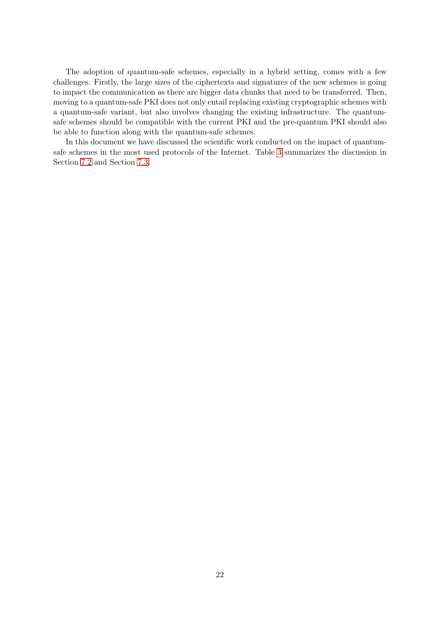The adoption of quantum-safe schemes, especially in a hybrid setting, comes with a few challenges. Firstly, the large sizes of the ciphertexts and signatures of the new schemes is going to impact the communication as there are bigger data chunks that need to be transferred. Then, moving to a quantum-safe PKI does not only entail replacing existing cryptographic schemes with a quantum-safe variant, but also involves changing the existing infrastructure. The quantumsafe schemes should be compatible with the current PKI and the pre-quantum PKI should also be able to function along with the quantum-safe schemes.

In this document we have discussed the scientific work conducted on the impact of quantumsafe schemes in the most used protocols of the Internet. Table [3](#page-22-2) summarizes the discussion in Section [7.2](#page-13-1) and Section [7.3.](#page-15-0)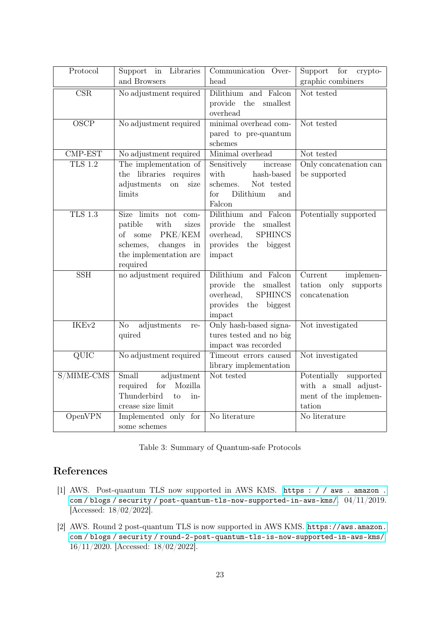| Protocol                 | Support in Libraries<br>and Browsers                                                                                                                         | Communication Over-<br>head                                                                                            | for<br>Support<br>crypto-<br>$\mbox{graphic}\ \mbox{combiners}$                     |
|--------------------------|--------------------------------------------------------------------------------------------------------------------------------------------------------------|------------------------------------------------------------------------------------------------------------------------|-------------------------------------------------------------------------------------|
|                          |                                                                                                                                                              |                                                                                                                        |                                                                                     |
| $\overline{\text{CSR}}$  | No adjustment required                                                                                                                                       | Dilithium and Falcon<br>provide<br>the<br>$\operatorname{smallest}$<br>overhead                                        | Not tested                                                                          |
| $\overline{\text{OSCP}}$ | No adjustment required                                                                                                                                       | minimal overhead com-<br>pared to pre-quantum<br>schemes                                                               | Not tested                                                                          |
| CMP-EST                  | No adjustment required                                                                                                                                       | Minimal overhead                                                                                                       | Not tested                                                                          |
| $TLS$ 1.2                | The implementation of<br>the libraries<br>requires<br>adjustments<br><b>on</b><br>size<br>limits                                                             | Sensitively<br>increase<br>with<br>hash-based<br>schemes.<br>Not tested<br>Dilithium<br>for<br>and<br>Falcon           | Only concatenation can<br>be supported                                              |
| <b>TLS 1.3</b>           | Size limits not com-<br>patible<br>with<br>sizes<br>PKE/KEM<br>$\sigma f$<br>some<br>changes<br>schemes,<br>$\cdot$ in<br>the implementation are<br>required | Dilithium and Falcon<br>provide<br>the smallest<br><b>SPHINCS</b><br>overhead,<br>provides the biggest<br>impact       | Potentially supported                                                               |
| $\overline{\text{SSH}}$  | no adjustment required                                                                                                                                       | Dilithium and Falcon<br>the<br>smallest<br>provide<br>overhead,<br><b>SPHINCS</b><br>provides<br>the biggest<br>impact | Current<br>implemen-<br>tation only supports<br>concatenation                       |
| IKEv2                    | No<br>adjustments<br>re-<br>quired                                                                                                                           | Only hash-based signa-<br>tures tested and no big<br>impact was recorded                                               | Not investigated                                                                    |
| $\overline{QUIC}$        | No adjustment required                                                                                                                                       | Timeout errors caused<br>library implementation                                                                        | Not investigated                                                                    |
| S/MIME-CMS               | Small<br>adjustment<br>required<br>Mozilla<br>for<br>Thunderbird<br>in-<br>to<br>crease size limit                                                           | Not tested                                                                                                             | Potentially<br>supported<br>with a small adjust-<br>ment of the implemen-<br>tation |
| OpenVPN                  | Implemented only for<br>some schemes                                                                                                                         | No literature                                                                                                          | No literature                                                                       |

|  |  |  | Table 3: Summary of Quantum-safe Protocols |  |
|--|--|--|--------------------------------------------|--|
|--|--|--|--------------------------------------------|--|

## <span id="page-22-2"></span>References

- <span id="page-22-0"></span>[1] AWS. Post-quantum TLS now supported in AWS KMS. [https : / / aws . amazon .](https://aws.amazon.com/blogs/security/post-quantum-tls-now-supported-in-aws-kms/) [com / blogs / security / post-quantum-tls-now-supported-in-aws-kms/](https://aws.amazon.com/blogs/security/post-quantum-tls-now-supported-in-aws-kms/). 04/11/2019. [Accessed: 18/02/2022].
- <span id="page-22-1"></span>[2] AWS. Round 2 post-quantum TLS is now supported in AWS KMS. [https://aws.amazon.](https://aws.amazon.com/blogs/security/round-2-post-quantum-tls-is-now-supported-in-aws-kms/) [com / blogs / security / round-2-post-quantum-tls-is-now-supported-in-aws-kms/](https://aws.amazon.com/blogs/security/round-2-post-quantum-tls-is-now-supported-in-aws-kms/). 16/11/2020. [Accessed: 18/02/2022].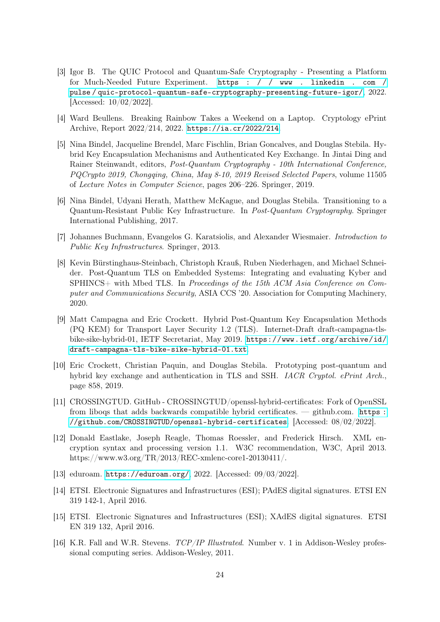- <span id="page-23-12"></span>[3] Igor B. The QUIC Protocol and Quantum-Safe Cryptography - Presenting a Platform for Much-Needed Future Experiment. [https : / / www . linkedin . com /](https://www.linkedin.com/pulse/quic-protocol-quantum-safe-cryptography-presenting-future-igor/) [pulse / quic-protocol-quantum-safe-cryptography-presenting-future-igor/](https://www.linkedin.com/pulse/quic-protocol-quantum-safe-cryptography-presenting-future-igor/), 2022. [Accessed: 10/02/2022].
- <span id="page-23-6"></span>[4] Ward Beullens. Breaking Rainbow Takes a Weekend on a Laptop. Cryptology ePrint Archive, Report 2022/214, 2022. <https://ia.cr/2022/214>.
- <span id="page-23-11"></span>[5] Nina Bindel, Jacqueline Brendel, Marc Fischlin, Brian Goncalves, and Douglas Stebila. Hybrid Key Encapsulation Mechanisms and Authenticated Key Exchange. In Jintai Ding and Rainer Steinwandt, editors, Post-Quantum Cryptography - 10th International Conference, PQCrypto 2019, Chongqing, China, May 8-10, 2019 Revised Selected Papers, volume 11505 of Lecture Notes in Computer Science, pages 206–226. Springer, 2019.
- <span id="page-23-7"></span>[6] Nina Bindel, Udyani Herath, Matthew McKague, and Douglas Stebila. Transitioning to a Quantum-Resistant Public Key Infrastructure. In Post-Quantum Cryptography. Springer International Publishing, 2017.
- <span id="page-23-0"></span>[7] Johannes Buchmann, Evangelos G. Karatsiolis, and Alexander Wiesmaier. Introduction to Public Key Infrastructures. Springer, 2013.
- <span id="page-23-9"></span>[8] Kevin Bürstinghaus-Steinbach, Christoph Krauß, Ruben Niederhagen, and Michael Schneider. Post-Quantum TLS on Embedded Systems: Integrating and evaluating Kyber and SPHINCS+ with Mbed TLS. In Proceedings of the 15th ACM Asia Conference on Computer and Communications Security, ASIA CCS '20. Association for Computing Machinery, 2020.
- <span id="page-23-10"></span>[9] Matt Campagna and Eric Crockett. Hybrid Post-Quantum Key Encapsulation Methods (PQ KEM) for Transport Layer Security 1.2 (TLS). Internet-Draft draft-campagna-tlsbike-sike-hybrid-01, IETF Secretariat, May 2019. [https://www.ietf.org/archive/id/](https://www.ietf.org/archive/id/draft-campagna-tls-bike-sike-hybrid-01.txt) [draft-campagna-tls-bike-sike-hybrid-01.txt](https://www.ietf.org/archive/id/draft-campagna-tls-bike-sike-hybrid-01.txt).
- <span id="page-23-8"></span>[10] Eric Crockett, Christian Paquin, and Douglas Stebila. Prototyping post-quantum and hybrid key exchange and authentication in TLS and SSH. IACR Cryptol. ePrint Arch., page 858, 2019.
- <span id="page-23-13"></span>[11] CROSSINGTUD. GitHub - CROSSINGTUD/openssl-hybrid-certificates: Fork of OpenSSL from liboqs that adds backwards compatible hybrid certificates. — github.com. [https :](https://github.com/CROSSINGTUD/openssl-hybrid-certificates) [//github.com/CROSSINGTUD/openssl-hybrid-certificates](https://github.com/CROSSINGTUD/openssl-hybrid-certificates). [Accessed: 08/02/2022].
- <span id="page-23-2"></span>[12] Donald Eastlake, Joseph Reagle, Thomas Roessler, and Frederick Hirsch. XML encryption syntax and processing version 1.1. W3C recommendation, W3C, April 2013. https://www.w3.org/TR/2013/REC-xmlenc-core1-20130411/.
- <span id="page-23-5"></span>[13] eduroam. <https://eduroam.org/>, 2022. [Accessed: 09/03/2022].
- <span id="page-23-4"></span>[14] ETSI. Electronic Signatures and Infrastructures (ESI); PAdES digital signatures. ETSI EN 319 142-1, April 2016.
- <span id="page-23-3"></span>[15] ETSI. Electronic Signatures and Infrastructures (ESI); XAdES digital signatures. ETSI EN 319 132, April 2016.
- <span id="page-23-1"></span>[16] K.R. Fall and W.R. Stevens. TCP/IP Illustrated. Number v. 1 in Addison-Wesley professional computing series. Addison-Wesley, 2011.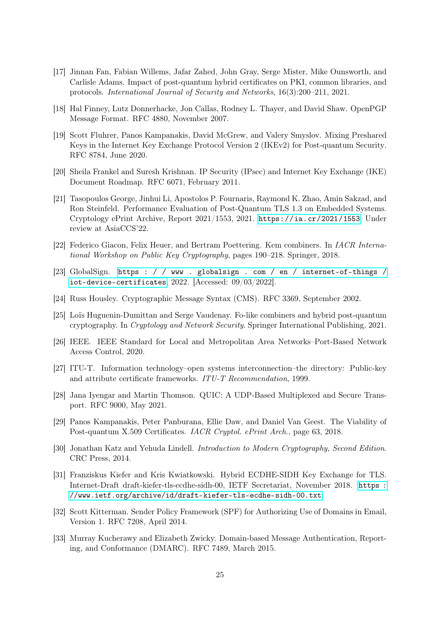- <span id="page-24-12"></span>[17] Jinnan Fan, Fabian Willems, Jafar Zahed, John Gray, Serge Mister, Mike Ounsworth, and Carlisle Adams. Impact of post-quantum hybrid certificates on PKI, common libraries, and protocols. International Journal of Security and Networks, 16(3):200–211, 2021.
- <span id="page-24-4"></span>[18] Hal Finney, Lutz Donnerhacke, Jon Callas, Rodney L. Thayer, and David Shaw. OpenPGP Message Format. RFC 4880, November 2007.
- <span id="page-24-16"></span>[19] Scott Fluhrer, Panos Kampanakis, David McGrew, and Valery Smyslov. Mixing Preshared Keys in the Internet Key Exchange Protocol Version 2 (IKEv2) for Post-quantum Security. RFC 8784, June 2020.
- <span id="page-24-5"></span>[20] Sheila Frankel and Suresh Krishnan. IP Security (IPsec) and Internet Key Exchange (IKE) Document Roadmap. RFC 6071, February 2011.
- <span id="page-24-14"></span>[21] Tasopoulos George, Jinhui Li, Apostolos P. Fournaris, Raymond K. Zhao, Amin Sakzad, and Ron Steinfeld. Performance Evaluation of Post-Quantum TLS 1.3 on Embedded Systems. Cryptology ePrint Archive, Report 2021/1553, 2021. <https://ia.cr/2021/1553>. Under review at AsiaCCS'22.
- <span id="page-24-10"></span>[22] Federico Giacon, Felix Heuer, and Bertram Poettering. Kem combiners. In IACR International Workshop on Public Key Cryptography, pages 190–218. Springer, 2018.
- <span id="page-24-9"></span>[23] GlobalSign. [https : / / www . globalsign . com / en / internet-of-things /](https://www.globalsign.com/en/internet-of-things/iot-device-certificates) [iot-device-certificates](https://www.globalsign.com/en/internet-of-things/iot-device-certificates), 2022. [Accessed: 09/03/2022].
- <span id="page-24-3"></span>[24] Russ Housley. Cryptographic Message Syntax (CMS). RFC 3369, September 2002.
- <span id="page-24-11"></span>[25] Loïs Huguenin-Dumittan and Serge Vaudenay. Fo-like combiners and hybrid post-quantum cryptography. In Cryptology and Network Security. Springer International Publishing, 2021.
- <span id="page-24-8"></span>[26] IEEE. IEEE Standard for Local and Metropolitan Area Networks–Port-Based Network Access Control, 2020.
- <span id="page-24-1"></span>[27] ITU-T. Information technology–open systems interconnection–the directory: Public-key and attribute certificate frameworks. ITU-T Recommendation, 1999.
- <span id="page-24-2"></span>[28] Jana Iyengar and Martin Thomson. QUIC: A UDP-Based Multiplexed and Secure Transport. RFC 9000, May 2021.
- <span id="page-24-13"></span>[29] Panos Kampanakis, Peter Panburana, Ellie Daw, and Daniel Van Geest. The Viability of Post-quantum X.509 Certificates. IACR Cryptol. ePrint Arch., page 63, 2018.
- <span id="page-24-0"></span>[30] Jonathan Katz and Yehuda Lindell. Introduction to Modern Cryptography, Second Edition. CRC Press, 2014.
- <span id="page-24-15"></span>[31] Franziskus Kiefer and Kris Kwiatkowski. Hybrid ECDHE-SIDH Key Exchange for TLS. Internet-Draft draft-kiefer-tls-ecdhe-sidh-00, IETF Secretariat, November 2018. [https :](https://www.ietf.org/archive/id/draft-kiefer-tls-ecdhe-sidh-00.txt) [//www.ietf.org/archive/id/draft-kiefer-tls-ecdhe-sidh-00.txt](https://www.ietf.org/archive/id/draft-kiefer-tls-ecdhe-sidh-00.txt).
- <span id="page-24-7"></span>[32] Scott Kitterman. Sender Policy Framework (SPF) for Authorizing Use of Domains in Email, Version 1. RFC 7208, April 2014.
- <span id="page-24-6"></span>[33] Murray Kucherawy and Elizabeth Zwicky. Domain-based Message Authentication, Reporting, and Conformance (DMARC). RFC 7489, March 2015.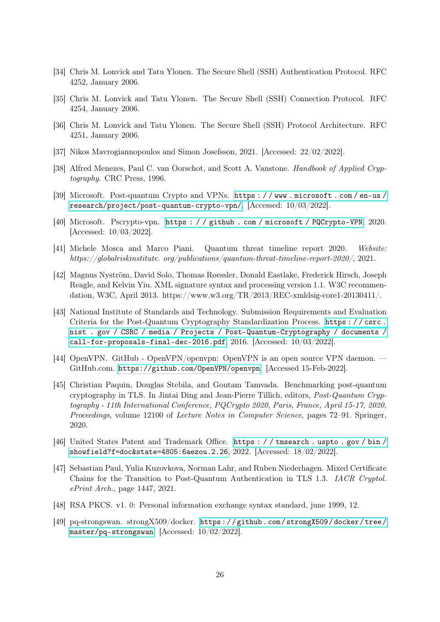- <span id="page-25-5"></span>[34] Chris M. Lonvick and Tatu Ylonen. The Secure Shell (SSH) Authentication Protocol. RFC 4252, January 2006.
- <span id="page-25-4"></span>[35] Chris M. Lonvick and Tatu Ylonen. The Secure Shell (SSH) Connection Protocol. RFC 4254, January 2006.
- <span id="page-25-3"></span>[36] Chris M. Lonvick and Tatu Ylonen. The Secure Shell (SSH) Protocol Architecture. RFC 4251, January 2006.
- <span id="page-25-7"></span>[37] Nikos Mavrogiannopoulos and Simon Josefsson, 2021. [Accessed: 22/02/2022].
- <span id="page-25-1"></span>[38] Alfred Menezes, Paul C. van Oorschot, and Scott A. Vanstone. Handbook of Applied Cryptography. CRC Press, 1996.
- <span id="page-25-14"></span>[39] Microsoft. Post-quantum Crypto and VPNs. [https : / / www . microsoft . com / en-us /](https://www.microsoft.com/en-us/research/project/post-quantum-crypto-vpn/) [research/project/post-quantum-crypto-vpn/](https://www.microsoft.com/en-us/research/project/post-quantum-crypto-vpn/). [Accessed: 10/03/2022].
- <span id="page-25-15"></span>[40] Microsoft. Pscrypto-vpn. [https : / / github . com / microsoft / PQCrypto-VPN](https://github.com/microsoft/PQCrypto-VPN), 2020. [Accessed: 10/03/2022].
- <span id="page-25-0"></span>[41] Michele Mosca and Marco Piani. Quantum threat timeline report 2020. Website: https://globalriskinstitute. org/publications/quantum-threat-timeline-report-2020/, 2021.
- <span id="page-25-9"></span>[42] Magnus Nyström, David Solo, Thomas Roessler, Donald Eastlake, Frederick Hirsch, Joseph Reagle, and Kelvin Yiu. XML signature syntax and processing version 1.1. W3C recommendation, W3C, April 2013. https://www.w3.org/TR/2013/REC-xmldsig-core1-20130411/.
- <span id="page-25-10"></span>[43] National Institute of Standards and Technology. Submission Requirements and Evaluation Criteria for the Post-Quantum Cryptography Standardization Process. [https : / / csrc .](https://csrc.nist.gov/CSRC/media/Projects/Post-Quantum-Cryptography/documents/call-for-proposals-final-dec-2016.pdf) [nist . gov / CSRC / media / Projects / Post-Quantum-Cryptography / documents /](https://csrc.nist.gov/CSRC/media/Projects/Post-Quantum-Cryptography/documents/call-for-proposals-final-dec-2016.pdf) [call-for-proposals-final-dec-2016.pdf](https://csrc.nist.gov/CSRC/media/Projects/Post-Quantum-Cryptography/documents/call-for-proposals-final-dec-2016.pdf),  $2016$ . [Accessed:  $10/03/2022$ ].
- <span id="page-25-8"></span>[44] OpenVPN. GitHub - OpenVPN/openvpn: OpenVPN is an open source VPN daemon. — GitHub.com. <https://github.com/OpenVPN/openvpn>. [Accessed 15-Feb-2022].
- <span id="page-25-12"></span>[45] Christian Paquin, Douglas Stebila, and Goutam Tamvada. Benchmarking post-quantum cryptography in TLS. In Jintai Ding and Jean-Pierre Tillich, editors, Post-Quantum Cryptography - 11th International Conference, PQCrypto 2020, Paris, France, April 15-17, 2020, Proceedings, volume 12100 of Lecture Notes in Computer Science, pages 72–91. Springer, 2020.
- <span id="page-25-6"></span>[46] United States Patent and Trademark Office. [https : / / tmsearch . uspto . gov / bin /](https://tmsearch.uspto.gov/bin/showfield?f=doc&state=4805:6aezou.2.26) [showfield?f=doc&state=4805:6aezou.2.26](https://tmsearch.uspto.gov/bin/showfield?f=doc&state=4805:6aezou.2.26), 2022. [Accessed: 18/02/2022].
- <span id="page-25-11"></span>[47] Sebastian Paul, Yulia Kuzovkova, Norman Lahr, and Ruben Niederhagen. Mixed Certificate Chains for the Transition to Post-Quantum Authentication in TLS 1.3. IACR Cryptol. ePrint Arch., page 1447, 2021.
- <span id="page-25-2"></span>[48] RSA PKCS. v1. 0: Personal information exchange syntax standard, june 1999, 12.
- <span id="page-25-13"></span>[49] pq-strongswan. strongX509/docker. [https : / / github . com / strongX509 / docker / tree /](https://github.com/strongX509/docker/tree/master/pq-strongswan) [master/pq-strongswan](https://github.com/strongX509/docker/tree/master/pq-strongswan). [Accessed: 10/02/2022].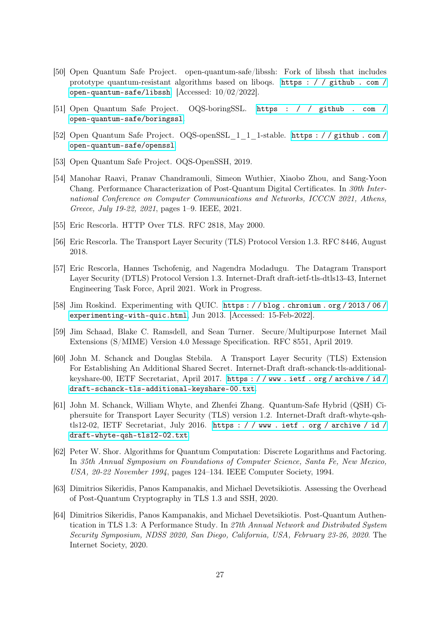- <span id="page-26-14"></span>[50] Open Quantum Safe Project. open-quantum-safe/libssh: Fork of libssh that includes prototype quantum-resistant algorithms based on liboqs. [https : / / github . com /](https://github.com/open-quantum-safe/libssh) [open-quantum-safe/libssh](https://github.com/open-quantum-safe/libssh). [Accessed: 10/02/2022].
- <span id="page-26-11"></span>[51] Open Quantum Safe Project. OQS-boringSSL. [https : / / github . com /](https://github.com/open-quantum-safe/boringssl) [open-quantum-safe/boringssl](https://github.com/open-quantum-safe/boringssl).
- <span id="page-26-10"></span>[52] Open Quantum Safe Project. OQS-openSSL\_1\_1\_1-stable. [https : / / github . com /](https://github.com/open-quantum-safe/openssl) [open-quantum-safe/openssl](https://github.com/open-quantum-safe/openssl).
- <span id="page-26-13"></span>[53] Open Quantum Safe Project. OQS-OpenSSH, 2019.
- <span id="page-26-6"></span>[54] Manohar Raavi, Pranav Chandramouli, Simeon Wuthier, Xiaobo Zhou, and Sang-Yoon Chang. Performance Characterization of Post-Quantum Digital Certificates. In 30th International Conference on Computer Communications and Networks, ICCCN 2021, Athens, Greece, July 19-22, 2021, pages 1–9. IEEE, 2021.
- <span id="page-26-4"></span>[55] Eric Rescorla. HTTP Over TLS. RFC 2818, May 2000.
- <span id="page-26-1"></span>[56] Eric Rescorla. The Transport Layer Security (TLS) Protocol Version 1.3. RFC 8446, August 2018.
- <span id="page-26-5"></span>[57] Eric Rescorla, Hannes Tschofenig, and Nagendra Modadugu. The Datagram Transport Layer Security (DTLS) Protocol Version 1.3. Internet-Draft draft-ietf-tls-dtls13-43, Internet Engineering Task Force, April 2021. Work in Progress.
- <span id="page-26-2"></span>[58] Jim Roskind. Experimenting with QUIC. [https : / / blog . chromium . org / 2013 / 06 /](https://blog.chromium.org/2013/06/experimenting-with-quic.html) [experimenting-with-quic.html](https://blog.chromium.org/2013/06/experimenting-with-quic.html), Jun 2013. [Accessed: 15-Feb-2022].
- <span id="page-26-3"></span>[59] Jim Schaad, Blake C. Ramsdell, and Sean Turner. Secure/Multipurpose Internet Mail Extensions (S/MIME) Version 4.0 Message Specification. RFC 8551, April 2019.
- <span id="page-26-12"></span>[60] John M. Schanck and Douglas Stebila. A Transport Layer Security (TLS) Extension For Establishing An Additional Shared Secret. Internet-Draft draft-schanck-tls-additionalkeyshare-00, IETF Secretariat, April 2017. [https : / / www . ietf . org / archive / id /](https://www.ietf.org/archive/id/draft-schanck-tls-additional-keyshare-00.txt) [draft-schanck-tls-additional-keyshare-00.txt](https://www.ietf.org/archive/id/draft-schanck-tls-additional-keyshare-00.txt).
- <span id="page-26-7"></span>[61] John M. Schanck, William Whyte, and Zhenfei Zhang. Quantum-Safe Hybrid (QSH) Ciphersuite for Transport Layer Security (TLS) version 1.2. Internet-Draft draft-whyte-qshtls12-02, IETF Secretariat, July 2016. [https : / / www . ietf . org / archive / id /](https://www.ietf.org/archive/id/draft-whyte-qsh-tls12-02.txt) [draft-whyte-qsh-tls12-02.txt](https://www.ietf.org/archive/id/draft-whyte-qsh-tls12-02.txt).
- <span id="page-26-0"></span>[62] Peter W. Shor. Algorithms for Quantum Computation: Discrete Logarithms and Factoring. In 35th Annual Symposium on Foundations of Computer Science, Santa Fe, New Mexico, USA, 20-22 November 1994, pages 124–134. IEEE Computer Society, 1994.
- <span id="page-26-9"></span>[63] Dimitrios Sikeridis, Panos Kampanakis, and Michael Devetsikiotis. Assessing the Overhead of Post-Quantum Cryptography in TLS 1.3 and SSH, 2020.
- <span id="page-26-8"></span>[64] Dimitrios Sikeridis, Panos Kampanakis, and Michael Devetsikiotis. Post-Quantum Authentication in TLS 1.3: A Performance Study. In 27th Annual Network and Distributed System Security Symposium, NDSS 2020, San Diego, California, USA, February 23-26, 2020. The Internet Society, 2020.